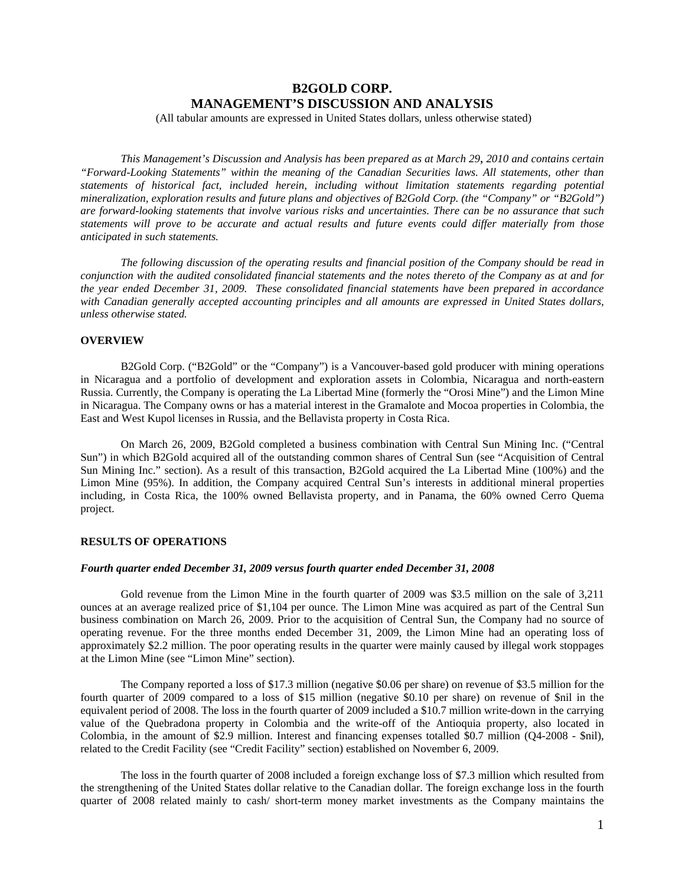# **B2GOLD CORP. MANAGEMENT'S DISCUSSION AND ANALYSIS**

(All tabular amounts are expressed in United States dollars, unless otherwise stated)

*This Management's Discussion and Analysis has been prepared as at March 29*, *2010 and contains certain "Forward-Looking Statements" within the meaning of the Canadian Securities laws. All statements, other than statements of historical fact, included herein, including without limitation statements regarding potential mineralization, exploration results and future plans and objectives of B2Gold Corp. (the "Company" or "B2Gold") are forward-looking statements that involve various risks and uncertainties. There can be no assurance that such statements will prove to be accurate and actual results and future events could differ materially from those anticipated in such statements.* 

*The following discussion of the operating results and financial position of the Company should be read in conjunction with the audited consolidated financial statements and the notes thereto of the Company as at and for the year ended December 31, 2009. These consolidated financial statements have been prepared in accordance with Canadian generally accepted accounting principles and all amounts are expressed in United States dollars, unless otherwise stated.*

# **OVERVIEW**

B2Gold Corp. ("B2Gold" or the "Company") is a Vancouver-based gold producer with mining operations in Nicaragua and a portfolio of development and exploration assets in Colombia, Nicaragua and north-eastern Russia. Currently, the Company is operating the La Libertad Mine (formerly the "Orosi Mine") and the Limon Mine in Nicaragua. The Company owns or has a material interest in the Gramalote and Mocoa properties in Colombia, the East and West Kupol licenses in Russia, and the Bellavista property in Costa Rica.

On March 26, 2009, B2Gold completed a business combination with Central Sun Mining Inc. ("Central Sun") in which B2Gold acquired all of the outstanding common shares of Central Sun (see "Acquisition of Central Sun Mining Inc." section). As a result of this transaction, B2Gold acquired the La Libertad Mine (100%) and the Limon Mine (95%). In addition, the Company acquired Central Sun's interests in additional mineral properties including, in Costa Rica, the 100% owned Bellavista property, and in Panama, the 60% owned Cerro Quema project.

### **RESULTS OF OPERATIONS**

# *Fourth quarter ended December 31, 2009 versus fourth quarter ended December 31, 2008*

Gold revenue from the Limon Mine in the fourth quarter of 2009 was \$3.5 million on the sale of 3,211 ounces at an average realized price of \$1,104 per ounce. The Limon Mine was acquired as part of the Central Sun business combination on March 26, 2009. Prior to the acquisition of Central Sun, the Company had no source of operating revenue. For the three months ended December 31, 2009, the Limon Mine had an operating loss of approximately \$2.2 million. The poor operating results in the quarter were mainly caused by illegal work stoppages at the Limon Mine (see "Limon Mine" section).

The Company reported a loss of \$17.3 million (negative \$0.06 per share) on revenue of \$3.5 million for the fourth quarter of 2009 compared to a loss of \$15 million (negative \$0.10 per share) on revenue of \$nil in the equivalent period of 2008. The loss in the fourth quarter of 2009 included a \$10.7 million write-down in the carrying value of the Quebradona property in Colombia and the write-off of the Antioquia property, also located in Colombia, in the amount of \$2.9 million. Interest and financing expenses totalled \$0.7 million (Q4-2008 - \$nil), related to the Credit Facility (see "Credit Facility" section) established on November 6, 2009.

The loss in the fourth quarter of 2008 included a foreign exchange loss of \$7.3 million which resulted from the strengthening of the United States dollar relative to the Canadian dollar. The foreign exchange loss in the fourth quarter of 2008 related mainly to cash/ short-term money market investments as the Company maintains the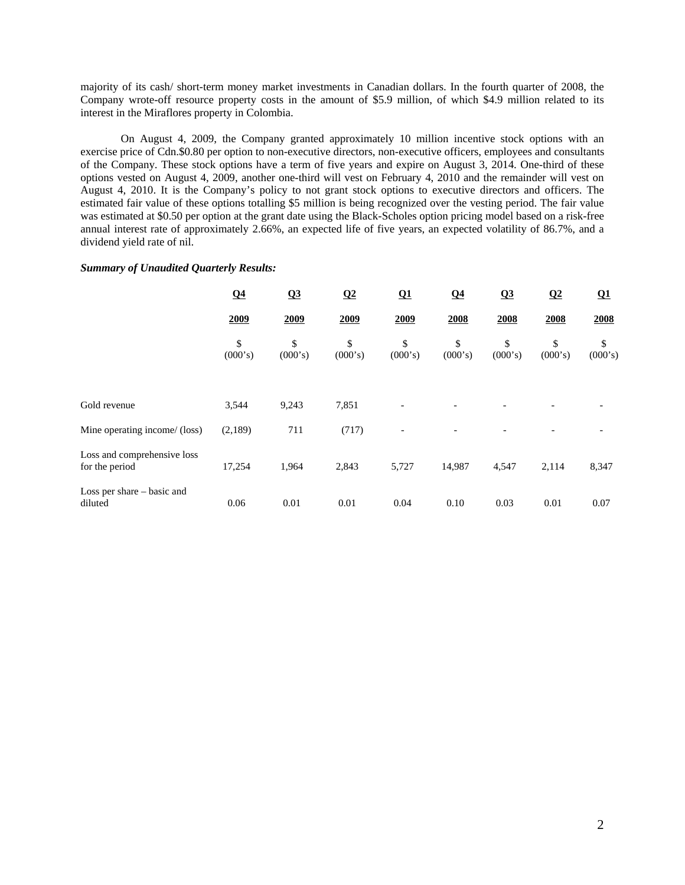majority of its cash/ short-term money market investments in Canadian dollars. In the fourth quarter of 2008, the Company wrote-off resource property costs in the amount of \$5.9 million, of which \$4.9 million related to its interest in the Miraflores property in Colombia.

On August 4, 2009, the Company granted approximately 10 million incentive stock options with an exercise price of Cdn.\$0.80 per option to non-executive directors, non-executive officers, employees and consultants of the Company. These stock options have a term of five years and expire on August 3, 2014. One-third of these options vested on August 4, 2009, another one-third will vest on February 4, 2010 and the remainder will vest on August 4, 2010. It is the Company's policy to not grant stock options to executive directors and officers. The estimated fair value of these options totalling \$5 million is being recognized over the vesting period. The fair value was estimated at \$0.50 per option at the grant date using the Black-Scholes option pricing model based on a risk-free annual interest rate of approximately 2.66%, an expected life of five years, an expected volatility of 86.7%, and a dividend yield rate of nil.

### *Summary of Unaudited Quarterly Results:*

|                                               | $\Omega$ 4    | Q3            | $\Omega$      | $\Omega$                 | Q <sub>4</sub> | Q3            | $\Omega$      | $\Omega$ 1    |
|-----------------------------------------------|---------------|---------------|---------------|--------------------------|----------------|---------------|---------------|---------------|
|                                               | 2009          | 2009          | 2009          | 2009                     | 2008           | 2008          | 2008          | 2008          |
|                                               | \$<br>(000's) | \$<br>(000's) | \$<br>(000's) | \$<br>(000's)            | \$<br>(000's)  | \$<br>(000's) | \$<br>(000's) | \$<br>(000's) |
| Gold revenue                                  | 3,544         | 9,243         | 7,851         |                          |                |               |               |               |
| Mine operating income/ (loss)                 | (2,189)       | 711           | (717)         | $\overline{\phantom{a}}$ |                |               |               |               |
| Loss and comprehensive loss<br>for the period | 17,254        | 1,964         | 2,843         | 5,727                    | 14,987         | 4,547         | 2,114         | 8,347         |
| Loss per share – basic and<br>diluted         | 0.06          | 0.01          | 0.01          | 0.04                     | 0.10           | 0.03          | 0.01          | 0.07          |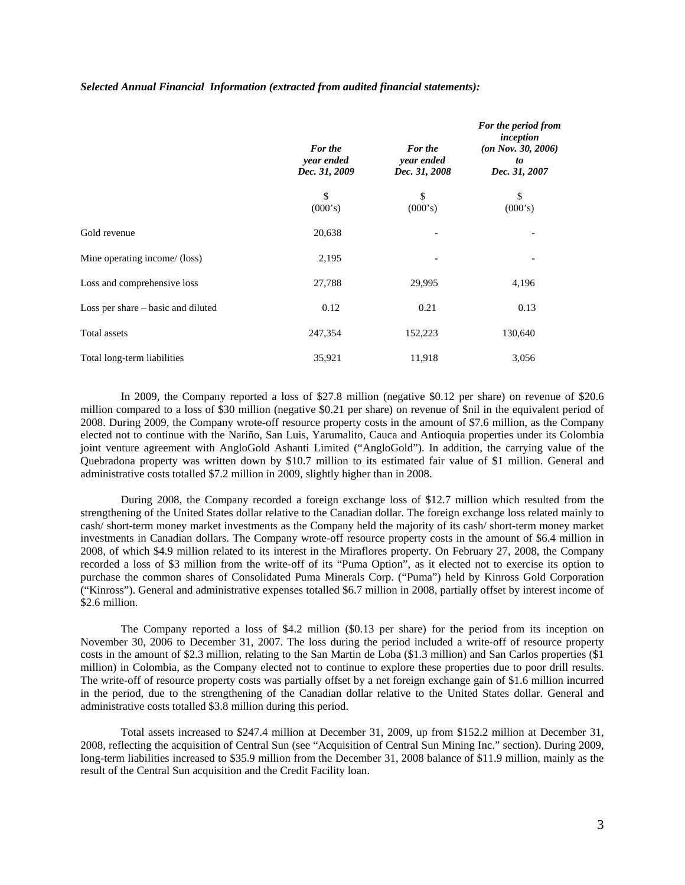|                                    | For the<br>year ended<br>Dec. 31, 2009 | For the<br>year ended<br>Dec. 31, 2008 | For the period from<br>inception<br>(an Nov. 30, 2006)<br>to<br>Dec. 31, 2007 |
|------------------------------------|----------------------------------------|----------------------------------------|-------------------------------------------------------------------------------|
|                                    | \$<br>(000's)                          | \$<br>(000's)                          | \$<br>(000's)                                                                 |
| Gold revenue                       | 20,638                                 |                                        |                                                                               |
| Mine operating income/ (loss)      | 2,195                                  |                                        |                                                                               |
| Loss and comprehensive loss        | 27,788                                 | 29,995                                 | 4,196                                                                         |
| Loss per share – basic and diluted | 0.12                                   | 0.21                                   | 0.13                                                                          |
| Total assets                       | 247,354                                | 152,223                                | 130,640                                                                       |
| Total long-term liabilities        | 35,921                                 | 11,918                                 | 3,056                                                                         |

### *Selected Annual Financial Information (extracted from audited financial statements):*

In 2009, the Company reported a loss of \$27.8 million (negative \$0.12 per share) on revenue of \$20.6 million compared to a loss of \$30 million (negative \$0.21 per share) on revenue of \$nil in the equivalent period of 2008. During 2009, the Company wrote-off resource property costs in the amount of \$7.6 million, as the Company elected not to continue with the Nariño, San Luis, Yarumalito, Cauca and Antioquia properties under its Colombia joint venture agreement with AngloGold Ashanti Limited ("AngloGold"). In addition, the carrying value of the Quebradona property was written down by \$10.7 million to its estimated fair value of \$1 million. General and administrative costs totalled \$7.2 million in 2009, slightly higher than in 2008.

During 2008, the Company recorded a foreign exchange loss of \$12.7 million which resulted from the strengthening of the United States dollar relative to the Canadian dollar. The foreign exchange loss related mainly to cash/ short-term money market investments as the Company held the majority of its cash/ short-term money market investments in Canadian dollars. The Company wrote-off resource property costs in the amount of \$6.4 million in 2008, of which \$4.9 million related to its interest in the Miraflores property. On February 27, 2008, the Company recorded a loss of \$3 million from the write-off of its "Puma Option", as it elected not to exercise its option to purchase the common shares of Consolidated Puma Minerals Corp. ("Puma") held by Kinross Gold Corporation ("Kinross"). General and administrative expenses totalled \$6.7 million in 2008, partially offset by interest income of \$2.6 million.

The Company reported a loss of \$4.2 million (\$0.13 per share) for the period from its inception on November 30, 2006 to December 31, 2007. The loss during the period included a write-off of resource property costs in the amount of \$2.3 million, relating to the San Martin de Loba (\$1.3 million) and San Carlos properties (\$1 million) in Colombia, as the Company elected not to continue to explore these properties due to poor drill results. The write-off of resource property costs was partially offset by a net foreign exchange gain of \$1.6 million incurred in the period, due to the strengthening of the Canadian dollar relative to the United States dollar. General and administrative costs totalled \$3.8 million during this period.

Total assets increased to \$247.4 million at December 31, 2009, up from \$152.2 million at December 31, 2008, reflecting the acquisition of Central Sun (see "Acquisition of Central Sun Mining Inc." section). During 2009, long-term liabilities increased to \$35.9 million from the December 31, 2008 balance of \$11.9 million, mainly as the result of the Central Sun acquisition and the Credit Facility loan.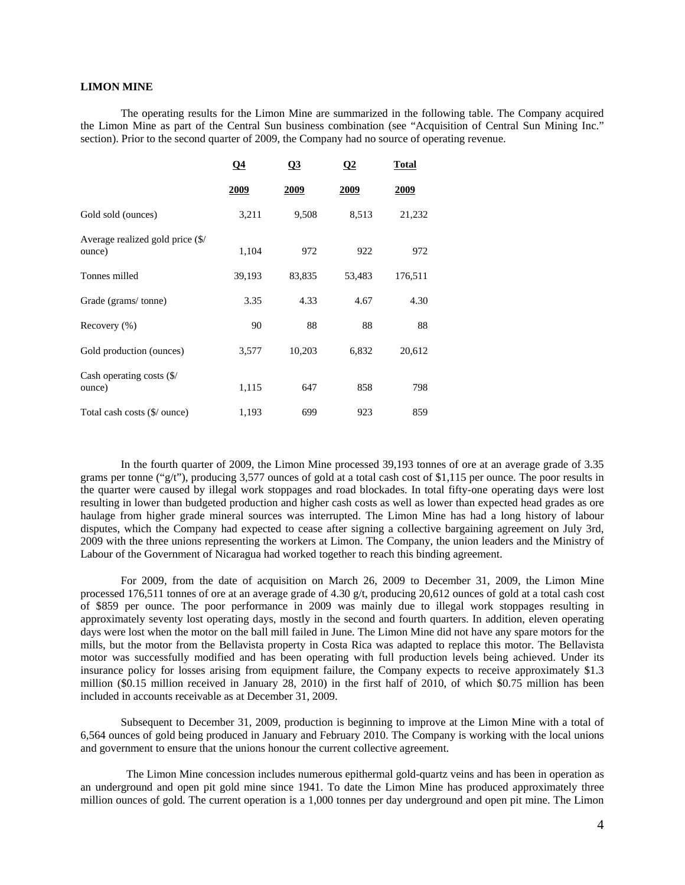# **LIMON MINE**

The operating results for the Limon Mine are summarized in the following table. The Company acquired the Limon Mine as part of the Central Sun business combination (see "Acquisition of Central Sun Mining Inc." section). Prior to the second quarter of 2009, the Company had no source of operating revenue.

|                                                | $\Omega$    | Q <sub>3</sub> | $\Omega$ | <b>Total</b> |
|------------------------------------------------|-------------|----------------|----------|--------------|
|                                                | <u>2009</u> | 2009           | 2009     | 2009         |
| Gold sold (ounces)                             | 3,211       | 9,508          | 8,513    | 21,232       |
| Average realized gold price (\$/<br>ounce)     | 1,104       | 972            | 922      | 972          |
| Tonnes milled                                  | 39,193      | 83,835         | 53,483   | 176,511      |
| Grade (grams/tonne)                            | 3.35        | 4.33           | 4.67     | 4.30         |
| Recovery $(\% )$                               | 90          | 88             | 88       | 88           |
| Gold production (ounces)                       | 3,577       | 10,203         | 6,832    | 20,612       |
| Cash operating costs $(\frac{6}{2})$<br>ounce) | 1,115       | 647            | 858      | 798          |
| Total cash costs (\$/ ounce)                   | 1,193       | 699            | 923      | 859          |

In the fourth quarter of 2009, the Limon Mine processed 39,193 tonnes of ore at an average grade of 3.35 grams per tonne ("g/t"), producing 3,577 ounces of gold at a total cash cost of \$1,115 per ounce. The poor results in the quarter were caused by illegal work stoppages and road blockades. In total fifty-one operating days were lost resulting in lower than budgeted production and higher cash costs as well as lower than expected head grades as ore haulage from higher grade mineral sources was interrupted. The Limon Mine has had a long history of labour disputes, which the Company had expected to cease after signing a collective bargaining agreement on July 3rd, 2009 with the three unions representing the workers at Limon. The Company, the union leaders and the Ministry of Labour of the Government of Nicaragua had worked together to reach this binding agreement.

For 2009, from the date of acquisition on March 26, 2009 to December 31, 2009, the Limon Mine processed 176,511 tonnes of ore at an average grade of 4.30 g/t, producing 20,612 ounces of gold at a total cash cost of \$859 per ounce. The poor performance in 2009 was mainly due to illegal work stoppages resulting in approximately seventy lost operating days, mostly in the second and fourth quarters. In addition, eleven operating days were lost when the motor on the ball mill failed in June. The Limon Mine did not have any spare motors for the mills, but the motor from the Bellavista property in Costa Rica was adapted to replace this motor. The Bellavista motor was successfully modified and has been operating with full production levels being achieved. Under its insurance policy for losses arising from equipment failure, the Company expects to receive approximately \$1.3 million (\$0.15 million received in January 28, 2010) in the first half of 2010, of which \$0.75 million has been included in accounts receivable as at December 31, 2009.

Subsequent to December 31, 2009, production is beginning to improve at the Limon Mine with a total of 6,564 ounces of gold being produced in January and February 2010. The Company is working with the local unions and government to ensure that the unions honour the current collective agreement.

 The Limon Mine concession includes numerous epithermal gold-quartz veins and has been in operation as an underground and open pit gold mine since 1941. To date the Limon Mine has produced approximately three million ounces of gold. The current operation is a 1,000 tonnes per day underground and open pit mine. The Limon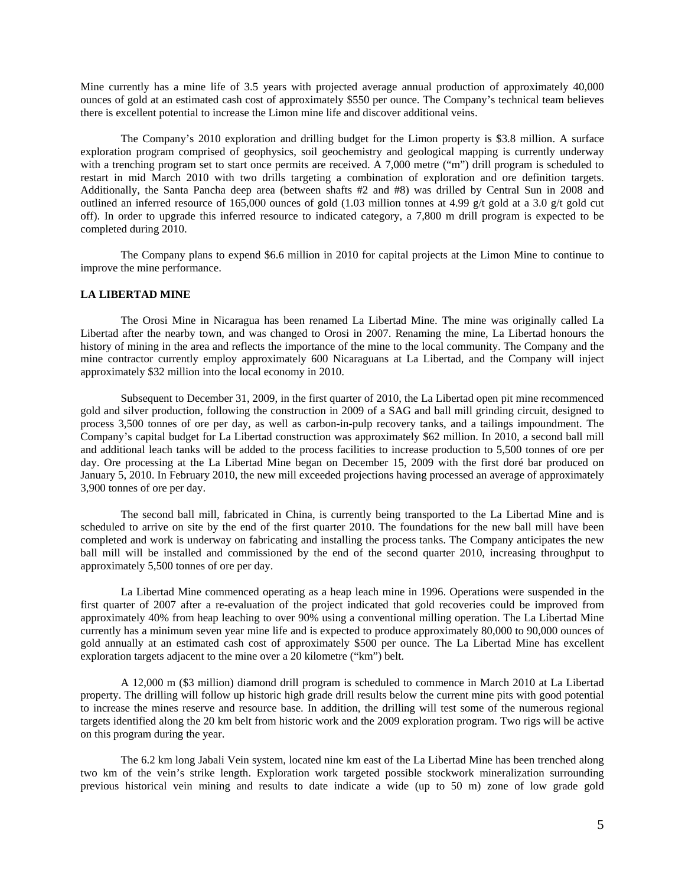Mine currently has a mine life of 3.5 years with projected average annual production of approximately 40,000 ounces of gold at an estimated cash cost of approximately \$550 per ounce. The Company's technical team believes there is excellent potential to increase the Limon mine life and discover additional veins.

The Company's 2010 exploration and drilling budget for the Limon property is \$3.8 million. A surface exploration program comprised of geophysics, soil geochemistry and geological mapping is currently underway with a trenching program set to start once permits are received. A 7,000 metre ("m") drill program is scheduled to restart in mid March 2010 with two drills targeting a combination of exploration and ore definition targets. Additionally, the Santa Pancha deep area (between shafts #2 and #8) was drilled by Central Sun in 2008 and outlined an inferred resource of 165,000 ounces of gold (1.03 million tonnes at 4.99 g/t gold at a 3.0 g/t gold cut off). In order to upgrade this inferred resource to indicated category, a 7,800 m drill program is expected to be completed during 2010.

The Company plans to expend \$6.6 million in 2010 for capital projects at the Limon Mine to continue to improve the mine performance.

### **LA LIBERTAD MINE**

The Orosi Mine in Nicaragua has been renamed La Libertad Mine. The mine was originally called La Libertad after the nearby town, and was changed to Orosi in 2007. Renaming the mine, La Libertad honours the history of mining in the area and reflects the importance of the mine to the local community. The Company and the mine contractor currently employ approximately 600 Nicaraguans at La Libertad, and the Company will inject approximately \$32 million into the local economy in 2010.

Subsequent to December 31, 2009, in the first quarter of 2010, the La Libertad open pit mine recommenced gold and silver production, following the construction in 2009 of a SAG and ball mill grinding circuit, designed to process 3,500 tonnes of ore per day, as well as carbon-in-pulp recovery tanks, and a tailings impoundment. The Company's capital budget for La Libertad construction was approximately \$62 million. In 2010, a second ball mill and additional leach tanks will be added to the process facilities to increase production to 5,500 tonnes of ore per day. Ore processing at the La Libertad Mine began on December 15, 2009 with the first doré bar produced on January 5, 2010. In February 2010, the new mill exceeded projections having processed an average of approximately 3,900 tonnes of ore per day.

The second ball mill, fabricated in China, is currently being transported to the La Libertad Mine and is scheduled to arrive on site by the end of the first quarter 2010. The foundations for the new ball mill have been completed and work is underway on fabricating and installing the process tanks. The Company anticipates the new ball mill will be installed and commissioned by the end of the second quarter 2010, increasing throughput to approximately 5,500 tonnes of ore per day.

La Libertad Mine commenced operating as a heap leach mine in 1996. Operations were suspended in the first quarter of 2007 after a re-evaluation of the project indicated that gold recoveries could be improved from approximately 40% from heap leaching to over 90% using a conventional milling operation. The La Libertad Mine currently has a minimum seven year mine life and is expected to produce approximately 80,000 to 90,000 ounces of gold annually at an estimated cash cost of approximately \$500 per ounce. The La Libertad Mine has excellent exploration targets adjacent to the mine over a 20 kilometre ("km") belt.

A 12,000 m (\$3 million) diamond drill program is scheduled to commence in March 2010 at La Libertad property. The drilling will follow up historic high grade drill results below the current mine pits with good potential to increase the mines reserve and resource base. In addition, the drilling will test some of the numerous regional targets identified along the 20 km belt from historic work and the 2009 exploration program. Two rigs will be active on this program during the year.

The 6.2 km long Jabali Vein system, located nine km east of the La Libertad Mine has been trenched along two km of the vein's strike length. Exploration work targeted possible stockwork mineralization surrounding previous historical vein mining and results to date indicate a wide (up to 50 m) zone of low grade gold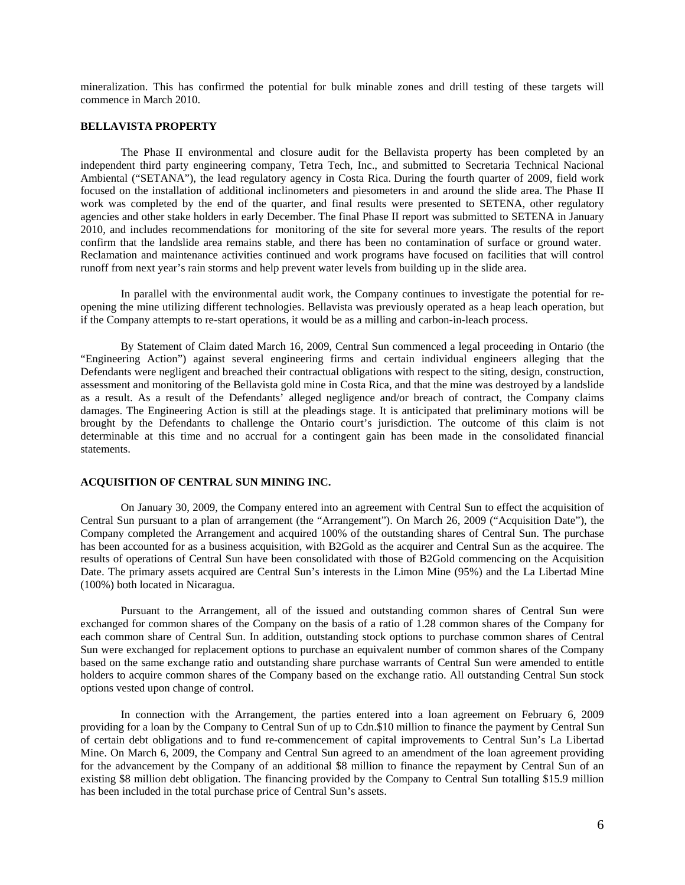mineralization. This has confirmed the potential for bulk minable zones and drill testing of these targets will commence in March 2010.

#### **BELLAVISTA PROPERTY**

The Phase II environmental and closure audit for the Bellavista property has been completed by an independent third party engineering company, Tetra Tech, Inc., and submitted to Secretaria Technical Nacional Ambiental ("SETANA"), the lead regulatory agency in Costa Rica. During the fourth quarter of 2009, field work focused on the installation of additional inclinometers and piesometers in and around the slide area. The Phase II work was completed by the end of the quarter, and final results were presented to SETENA, other regulatory agencies and other stake holders in early December. The final Phase II report was submitted to SETENA in January 2010, and includes recommendations for monitoring of the site for several more years. The results of the report confirm that the landslide area remains stable, and there has been no contamination of surface or ground water. Reclamation and maintenance activities continued and work programs have focused on facilities that will control runoff from next year's rain storms and help prevent water levels from building up in the slide area.

In parallel with the environmental audit work, the Company continues to investigate the potential for reopening the mine utilizing different technologies. Bellavista was previously operated as a heap leach operation, but if the Company attempts to re-start operations, it would be as a milling and carbon-in-leach process.

By Statement of Claim dated March 16, 2009, Central Sun commenced a legal proceeding in Ontario (the "Engineering Action") against several engineering firms and certain individual engineers alleging that the Defendants were negligent and breached their contractual obligations with respect to the siting, design, construction, assessment and monitoring of the Bellavista gold mine in Costa Rica, and that the mine was destroyed by a landslide as a result. As a result of the Defendants' alleged negligence and/or breach of contract, the Company claims damages. The Engineering Action is still at the pleadings stage. It is anticipated that preliminary motions will be brought by the Defendants to challenge the Ontario court's jurisdiction. The outcome of this claim is not determinable at this time and no accrual for a contingent gain has been made in the consolidated financial statements.

# **ACQUISITION OF CENTRAL SUN MINING INC.**

On January 30, 2009, the Company entered into an agreement with Central Sun to effect the acquisition of Central Sun pursuant to a plan of arrangement (the "Arrangement"). On March 26, 2009 ("Acquisition Date"), the Company completed the Arrangement and acquired 100% of the outstanding shares of Central Sun. The purchase has been accounted for as a business acquisition, with B2Gold as the acquirer and Central Sun as the acquiree. The results of operations of Central Sun have been consolidated with those of B2Gold commencing on the Acquisition Date. The primary assets acquired are Central Sun's interests in the Limon Mine (95%) and the La Libertad Mine (100%) both located in Nicaragua.

Pursuant to the Arrangement, all of the issued and outstanding common shares of Central Sun were exchanged for common shares of the Company on the basis of a ratio of 1.28 common shares of the Company for each common share of Central Sun. In addition, outstanding stock options to purchase common shares of Central Sun were exchanged for replacement options to purchase an equivalent number of common shares of the Company based on the same exchange ratio and outstanding share purchase warrants of Central Sun were amended to entitle holders to acquire common shares of the Company based on the exchange ratio. All outstanding Central Sun stock options vested upon change of control.

In connection with the Arrangement, the parties entered into a loan agreement on February 6, 2009 providing for a loan by the Company to Central Sun of up to Cdn.\$10 million to finance the payment by Central Sun of certain debt obligations and to fund re-commencement of capital improvements to Central Sun's La Libertad Mine. On March 6, 2009, the Company and Central Sun agreed to an amendment of the loan agreement providing for the advancement by the Company of an additional \$8 million to finance the repayment by Central Sun of an existing \$8 million debt obligation. The financing provided by the Company to Central Sun totalling \$15.9 million has been included in the total purchase price of Central Sun's assets.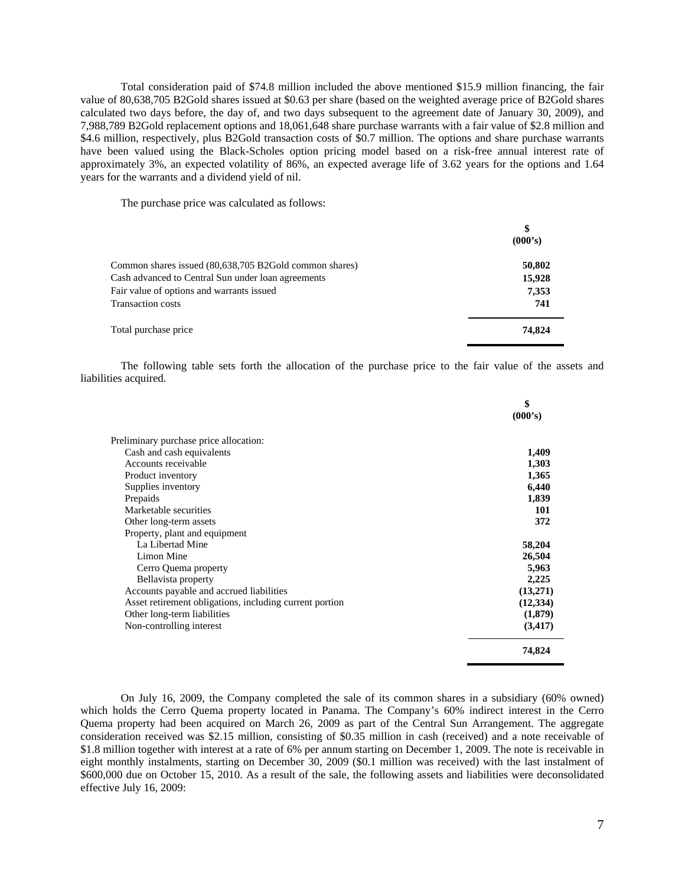Total consideration paid of \$74.8 million included the above mentioned \$15.9 million financing, the fair value of 80,638,705 B2Gold shares issued at \$0.63 per share (based on the weighted average price of B2Gold shares calculated two days before, the day of, and two days subsequent to the agreement date of January 30, 2009), and 7,988,789 B2Gold replacement options and 18,061,648 share purchase warrants with a fair value of \$2.8 million and \$4.6 million, respectively, plus B2Gold transaction costs of \$0.7 million. The options and share purchase warrants have been valued using the Black-Scholes option pricing model based on a risk-free annual interest rate of approximately 3%, an expected volatility of 86%, an expected average life of 3.62 years for the options and 1.64 years for the warrants and a dividend yield of nil.

The purchase price was calculated as follows:

|                                                        | \$<br>(000's) |
|--------------------------------------------------------|---------------|
| Common shares issued (80,638,705 B2Gold common shares) | 50,802        |
| Cash advanced to Central Sun under loan agreements     | 15,928        |
| Fair value of options and warrants issued              | 7,353         |
| <b>Transaction costs</b>                               | 741           |
| Total purchase price                                   | 74,824        |

The following table sets forth the allocation of the purchase price to the fair value of the assets and liabilities acquired.

|                                                         | \$        |
|---------------------------------------------------------|-----------|
|                                                         | (000's)   |
| Preliminary purchase price allocation:                  |           |
| Cash and cash equivalents                               | 1,409     |
| Accounts receivable                                     | 1,303     |
| Product inventory                                       | 1,365     |
| Supplies inventory                                      | 6,440     |
| Prepaids                                                | 1,839     |
| Marketable securities                                   | 101       |
| Other long-term assets                                  | 372       |
| Property, plant and equipment                           |           |
| La Libertad Mine                                        | 58,204    |
| Limon Mine                                              | 26,504    |
| Cerro Quema property                                    | 5,963     |
| Bellavista property                                     | 2,225     |
| Accounts payable and accrued liabilities                | (13,271)  |
| Asset retirement obligations, including current portion | (12, 334) |
| Other long-term liabilities                             | (1,879)   |
| Non-controlling interest                                | (3, 417)  |
|                                                         | 74,824    |
|                                                         |           |

On July 16, 2009, the Company completed the sale of its common shares in a subsidiary (60% owned) which holds the Cerro Quema property located in Panama. The Company's 60% indirect interest in the Cerro Quema property had been acquired on March 26, 2009 as part of the Central Sun Arrangement. The aggregate consideration received was \$2.15 million, consisting of \$0.35 million in cash (received) and a note receivable of \$1.8 million together with interest at a rate of 6% per annum starting on December 1, 2009. The note is receivable in eight monthly instalments, starting on December 30, 2009 (\$0.1 million was received) with the last instalment of \$600,000 due on October 15, 2010. As a result of the sale, the following assets and liabilities were deconsolidated effective July 16, 2009: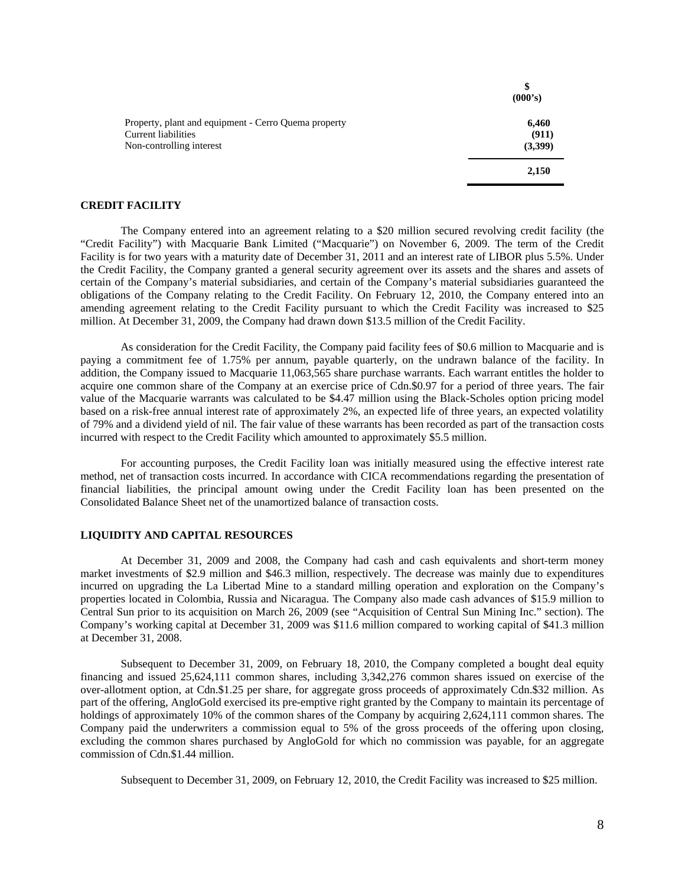|                                                                             | \$<br>(000's)  |
|-----------------------------------------------------------------------------|----------------|
| Property, plant and equipment - Cerro Quema property<br>Current liabilities | 6,460<br>(911) |
| Non-controlling interest                                                    | (3,399)        |
|                                                                             | 2,150          |

#### **CREDIT FACILITY**

The Company entered into an agreement relating to a \$20 million secured revolving credit facility (the "Credit Facility") with Macquarie Bank Limited ("Macquarie") on November 6, 2009. The term of the Credit Facility is for two years with a maturity date of December 31, 2011 and an interest rate of LIBOR plus 5.5%. Under the Credit Facility, the Company granted a general security agreement over its assets and the shares and assets of certain of the Company's material subsidiaries, and certain of the Company's material subsidiaries guaranteed the obligations of the Company relating to the Credit Facility. On February 12, 2010, the Company entered into an amending agreement relating to the Credit Facility pursuant to which the Credit Facility was increased to \$25 million. At December 31, 2009, the Company had drawn down \$13.5 million of the Credit Facility.

As consideration for the Credit Facility, the Company paid facility fees of \$0.6 million to Macquarie and is paying a commitment fee of 1.75% per annum, payable quarterly, on the undrawn balance of the facility. In addition, the Company issued to Macquarie 11,063,565 share purchase warrants. Each warrant entitles the holder to acquire one common share of the Company at an exercise price of Cdn.\$0.97 for a period of three years. The fair value of the Macquarie warrants was calculated to be \$4.47 million using the Black-Scholes option pricing model based on a risk-free annual interest rate of approximately 2%, an expected life of three years, an expected volatility of 79% and a dividend yield of nil. The fair value of these warrants has been recorded as part of the transaction costs incurred with respect to the Credit Facility which amounted to approximately \$5.5 million.

For accounting purposes, the Credit Facility loan was initially measured using the effective interest rate method, net of transaction costs incurred. In accordance with CICA recommendations regarding the presentation of financial liabilities, the principal amount owing under the Credit Facility loan has been presented on the Consolidated Balance Sheet net of the unamortized balance of transaction costs.

### **LIQUIDITY AND CAPITAL RESOURCES**

At December 31, 2009 and 2008, the Company had cash and cash equivalents and short-term money market investments of \$2.9 million and \$46.3 million, respectively. The decrease was mainly due to expenditures incurred on upgrading the La Libertad Mine to a standard milling operation and exploration on the Company's properties located in Colombia, Russia and Nicaragua. The Company also made cash advances of \$15.9 million to Central Sun prior to its acquisition on March 26, 2009 (see "Acquisition of Central Sun Mining Inc." section). The Company's working capital at December 31, 2009 was \$11.6 million compared to working capital of \$41.3 million at December 31, 2008.

Subsequent to December 31, 2009, on February 18, 2010, the Company completed a bought deal equity financing and issued 25,624,111 common shares, including 3,342,276 common shares issued on exercise of the over-allotment option, at Cdn.\$1.25 per share, for aggregate gross proceeds of approximately Cdn.\$32 million. As part of the offering, AngloGold exercised its pre-emptive right granted by the Company to maintain its percentage of holdings of approximately 10% of the common shares of the Company by acquiring 2,624,111 common shares. The Company paid the underwriters a commission equal to 5% of the gross proceeds of the offering upon closing, excluding the common shares purchased by AngloGold for which no commission was payable, for an aggregate commission of Cdn.\$1.44 million.

Subsequent to December 31, 2009, on February 12, 2010, the Credit Facility was increased to \$25 million.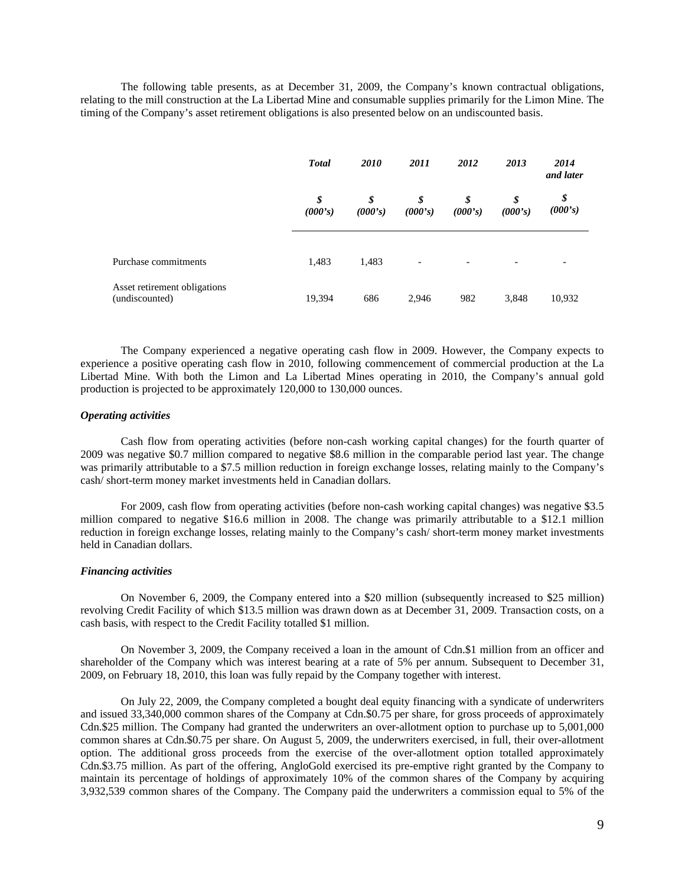The following table presents, as at December 31, 2009, the Company's known contractual obligations, relating to the mill construction at the La Libertad Mine and consumable supplies primarily for the Limon Mine. The timing of the Company's asset retirement obligations is also presented below on an undiscounted basis.

|                                                | <b>Total</b>  | <i>2010</i>   | 2011                     | 2012                     | 2013                     | 2014<br>and later |
|------------------------------------------------|---------------|---------------|--------------------------|--------------------------|--------------------------|-------------------|
|                                                | \$<br>(000's) | \$<br>(000's) | \$<br>(000's)            | \$<br>(000's)            | \$<br>(000's)            | \$<br>(000's)     |
| Purchase commitments                           | 1,483         | 1,483         | $\overline{\phantom{a}}$ | $\overline{\phantom{a}}$ | $\overline{\phantom{0}}$ |                   |
| Asset retirement obligations<br>(undiscounted) | 19,394        | 686           | 2,946                    | 982                      | 3,848                    | 10,932            |

The Company experienced a negative operating cash flow in 2009. However, the Company expects to experience a positive operating cash flow in 2010, following commencement of commercial production at the La Libertad Mine. With both the Limon and La Libertad Mines operating in 2010, the Company's annual gold production is projected to be approximately 120,000 to 130,000 ounces.

#### *Operating activities*

Cash flow from operating activities (before non-cash working capital changes) for the fourth quarter of 2009 was negative \$0.7 million compared to negative \$8.6 million in the comparable period last year. The change was primarily attributable to a \$7.5 million reduction in foreign exchange losses, relating mainly to the Company's cash/ short-term money market investments held in Canadian dollars.

For 2009, cash flow from operating activities (before non-cash working capital changes) was negative \$3.5 million compared to negative \$16.6 million in 2008. The change was primarily attributable to a \$12.1 million reduction in foreign exchange losses, relating mainly to the Company's cash/ short-term money market investments held in Canadian dollars.

#### *Financing activities*

On November 6, 2009, the Company entered into a \$20 million (subsequently increased to \$25 million) revolving Credit Facility of which \$13.5 million was drawn down as at December 31, 2009. Transaction costs, on a cash basis, with respect to the Credit Facility totalled \$1 million.

On November 3, 2009, the Company received a loan in the amount of Cdn.\$1 million from an officer and shareholder of the Company which was interest bearing at a rate of 5% per annum. Subsequent to December 31, 2009, on February 18, 2010, this loan was fully repaid by the Company together with interest.

On July 22, 2009, the Company completed a bought deal equity financing with a syndicate of underwriters and issued 33,340,000 common shares of the Company at Cdn.\$0.75 per share, for gross proceeds of approximately Cdn.\$25 million. The Company had granted the underwriters an over-allotment option to purchase up to 5,001,000 common shares at Cdn.\$0.75 per share. On August 5, 2009, the underwriters exercised, in full, their over-allotment option. The additional gross proceeds from the exercise of the over-allotment option totalled approximately Cdn.\$3.75 million. As part of the offering, AngloGold exercised its pre-emptive right granted by the Company to maintain its percentage of holdings of approximately 10% of the common shares of the Company by acquiring 3,932,539 common shares of the Company. The Company paid the underwriters a commission equal to 5% of the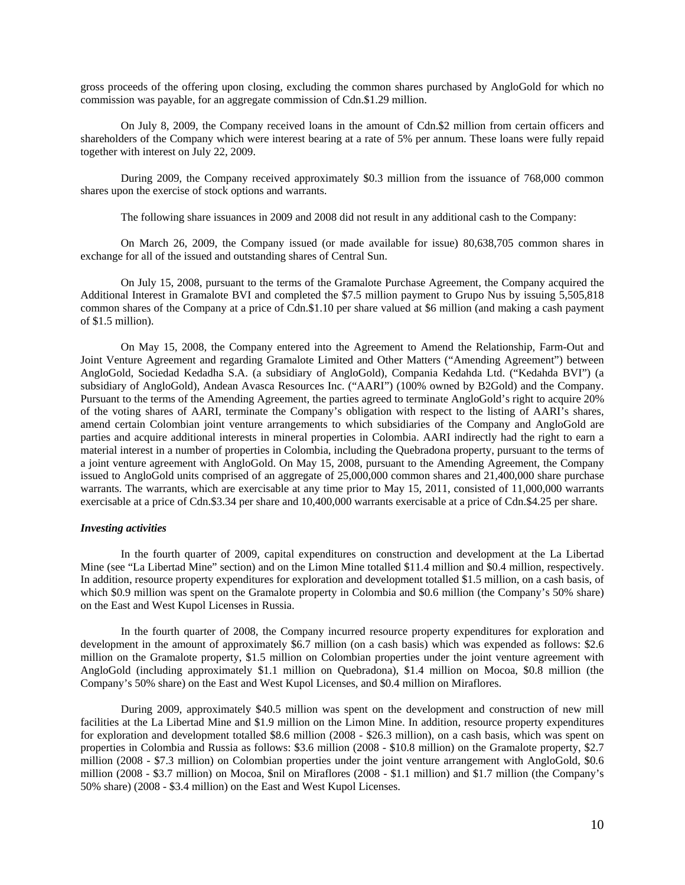gross proceeds of the offering upon closing, excluding the common shares purchased by AngloGold for which no commission was payable, for an aggregate commission of Cdn.\$1.29 million.

On July 8, 2009, the Company received loans in the amount of Cdn.\$2 million from certain officers and shareholders of the Company which were interest bearing at a rate of 5% per annum. These loans were fully repaid together with interest on July 22, 2009.

During 2009, the Company received approximately \$0.3 million from the issuance of 768,000 common shares upon the exercise of stock options and warrants.

The following share issuances in 2009 and 2008 did not result in any additional cash to the Company:

On March 26, 2009, the Company issued (or made available for issue) 80,638,705 common shares in exchange for all of the issued and outstanding shares of Central Sun.

On July 15, 2008, pursuant to the terms of the Gramalote Purchase Agreement, the Company acquired the Additional Interest in Gramalote BVI and completed the \$7.5 million payment to Grupo Nus by issuing 5,505,818 common shares of the Company at a price of Cdn.\$1.10 per share valued at \$6 million (and making a cash payment of \$1.5 million).

On May 15, 2008, the Company entered into the Agreement to Amend the Relationship, Farm-Out and Joint Venture Agreement and regarding Gramalote Limited and Other Matters ("Amending Agreement") between AngloGold, Sociedad Kedadha S.A. (a subsidiary of AngloGold), Compania Kedahda Ltd. ("Kedahda BVI") (a subsidiary of AngloGold), Andean Avasca Resources Inc. ("AARI") (100% owned by B2Gold) and the Company. Pursuant to the terms of the Amending Agreement, the parties agreed to terminate AngloGold's right to acquire 20% of the voting shares of AARI, terminate the Company's obligation with respect to the listing of AARI's shares, amend certain Colombian joint venture arrangements to which subsidiaries of the Company and AngloGold are parties and acquire additional interests in mineral properties in Colombia. AARI indirectly had the right to earn a material interest in a number of properties in Colombia, including the Quebradona property, pursuant to the terms of a joint venture agreement with AngloGold. On May 15, 2008, pursuant to the Amending Agreement, the Company issued to AngloGold units comprised of an aggregate of 25,000,000 common shares and 21,400,000 share purchase warrants. The warrants, which are exercisable at any time prior to May 15, 2011, consisted of 11,000,000 warrants exercisable at a price of Cdn.\$3.34 per share and 10,400,000 warrants exercisable at a price of Cdn.\$4.25 per share.

#### *Investing activities*

In the fourth quarter of 2009, capital expenditures on construction and development at the La Libertad Mine (see "La Libertad Mine" section) and on the Limon Mine totalled \$11.4 million and \$0.4 million, respectively. In addition, resource property expenditures for exploration and development totalled \$1.5 million, on a cash basis, of which \$0.9 million was spent on the Gramalote property in Colombia and \$0.6 million (the Company's 50% share) on the East and West Kupol Licenses in Russia.

In the fourth quarter of 2008, the Company incurred resource property expenditures for exploration and development in the amount of approximately \$6.7 million (on a cash basis) which was expended as follows: \$2.6 million on the Gramalote property, \$1.5 million on Colombian properties under the joint venture agreement with AngloGold (including approximately \$1.1 million on Quebradona), \$1.4 million on Mocoa, \$0.8 million (the Company's 50% share) on the East and West Kupol Licenses, and \$0.4 million on Miraflores.

During 2009, approximately \$40.5 million was spent on the development and construction of new mill facilities at the La Libertad Mine and \$1.9 million on the Limon Mine. In addition, resource property expenditures for exploration and development totalled \$8.6 million (2008 - \$26.3 million), on a cash basis, which was spent on properties in Colombia and Russia as follows: \$3.6 million (2008 - \$10.8 million) on the Gramalote property, \$2.7 million (2008 - \$7.3 million) on Colombian properties under the joint venture arrangement with AngloGold, \$0.6 million (2008 - \$3.7 million) on Mocoa, \$nil on Miraflores (2008 - \$1.1 million) and \$1.7 million (the Company's 50% share) (2008 - \$3.4 million) on the East and West Kupol Licenses.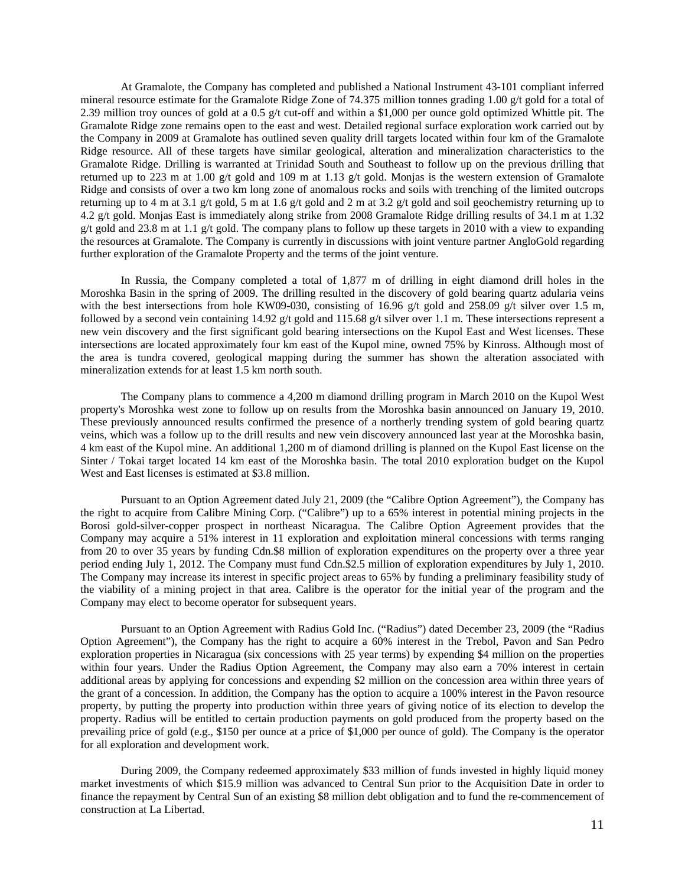At Gramalote, the Company has completed and published a National Instrument 43-101 compliant inferred mineral resource estimate for the Gramalote Ridge Zone of 74.375 million tonnes grading 1.00 g/t gold for a total of 2.39 million troy ounces of gold at a 0.5 g/t cut-off and within a \$1,000 per ounce gold optimized Whittle pit. The Gramalote Ridge zone remains open to the east and west. Detailed regional surface exploration work carried out by the Company in 2009 at Gramalote has outlined seven quality drill targets located within four km of the Gramalote Ridge resource. All of these targets have similar geological, alteration and mineralization characteristics to the Gramalote Ridge. Drilling is warranted at Trinidad South and Southeast to follow up on the previous drilling that returned up to 223 m at 1.00 g/t gold and 109 m at 1.13 g/t gold. Monjas is the western extension of Gramalote Ridge and consists of over a two km long zone of anomalous rocks and soils with trenching of the limited outcrops returning up to 4 m at 3.1 g/t gold, 5 m at 1.6 g/t gold and 2 m at 3.2 g/t gold and soil geochemistry returning up to 4.2 g/t gold. Monjas East is immediately along strike from 2008 Gramalote Ridge drilling results of 34.1 m at 1.32 g/t gold and 23.8 m at 1.1 g/t gold. The company plans to follow up these targets in 2010 with a view to expanding the resources at Gramalote. The Company is currently in discussions with joint venture partner AngloGold regarding further exploration of the Gramalote Property and the terms of the joint venture.

In Russia, the Company completed a total of 1,877 m of drilling in eight diamond drill holes in the Moroshka Basin in the spring of 2009. The drilling resulted in the discovery of gold bearing quartz adularia veins with the best intersections from hole KW09-030, consisting of 16.96 g/t gold and 258.09 g/t silver over 1.5 m, followed by a second vein containing 14.92 g/t gold and 115.68 g/t silver over 1.1 m. These intersections represent a new vein discovery and the first significant gold bearing intersections on the Kupol East and West licenses. These intersections are located approximately four km east of the Kupol mine, owned 75% by Kinross. Although most of the area is tundra covered, geological mapping during the summer has shown the alteration associated with mineralization extends for at least 1.5 km north south.

The Company plans to commence a 4,200 m diamond drilling program in March 2010 on the Kupol West property's Moroshka west zone to follow up on results from the Moroshka basin announced on January 19, 2010. These previously announced results confirmed the presence of a northerly trending system of gold bearing quartz veins, which was a follow up to the drill results and new vein discovery announced last year at the Moroshka basin, 4 km east of the Kupol mine. An additional 1,200 m of diamond drilling is planned on the Kupol East license on the Sinter / Tokai target located 14 km east of the Moroshka basin. The total 2010 exploration budget on the Kupol West and East licenses is estimated at \$3.8 million.

Pursuant to an Option Agreement dated July 21, 2009 (the "Calibre Option Agreement"), the Company has the right to acquire from Calibre Mining Corp. ("Calibre") up to a 65% interest in potential mining projects in the Borosi gold-silver-copper prospect in northeast Nicaragua. The Calibre Option Agreement provides that the Company may acquire a 51% interest in 11 exploration and exploitation mineral concessions with terms ranging from 20 to over 35 years by funding Cdn.\$8 million of exploration expenditures on the property over a three year period ending July 1, 2012. The Company must fund Cdn.\$2.5 million of exploration expenditures by July 1, 2010. The Company may increase its interest in specific project areas to 65% by funding a preliminary feasibility study of the viability of a mining project in that area. Calibre is the operator for the initial year of the program and the Company may elect to become operator for subsequent years.

Pursuant to an Option Agreement with Radius Gold Inc. ("Radius") dated December 23, 2009 (the "Radius Option Agreement"), the Company has the right to acquire a 60% interest in the Trebol, Pavon and San Pedro exploration properties in Nicaragua (six concessions with 25 year terms) by expending \$4 million on the properties within four years. Under the Radius Option Agreement, the Company may also earn a 70% interest in certain additional areas by applying for concessions and expending \$2 million on the concession area within three years of the grant of a concession. In addition, the Company has the option to acquire a 100% interest in the Pavon resource property, by putting the property into production within three years of giving notice of its election to develop the property. Radius will be entitled to certain production payments on gold produced from the property based on the prevailing price of gold (e.g., \$150 per ounce at a price of \$1,000 per ounce of gold). The Company is the operator for all exploration and development work.

During 2009, the Company redeemed approximately \$33 million of funds invested in highly liquid money market investments of which \$15.9 million was advanced to Central Sun prior to the Acquisition Date in order to finance the repayment by Central Sun of an existing \$8 million debt obligation and to fund the re-commencement of construction at La Libertad.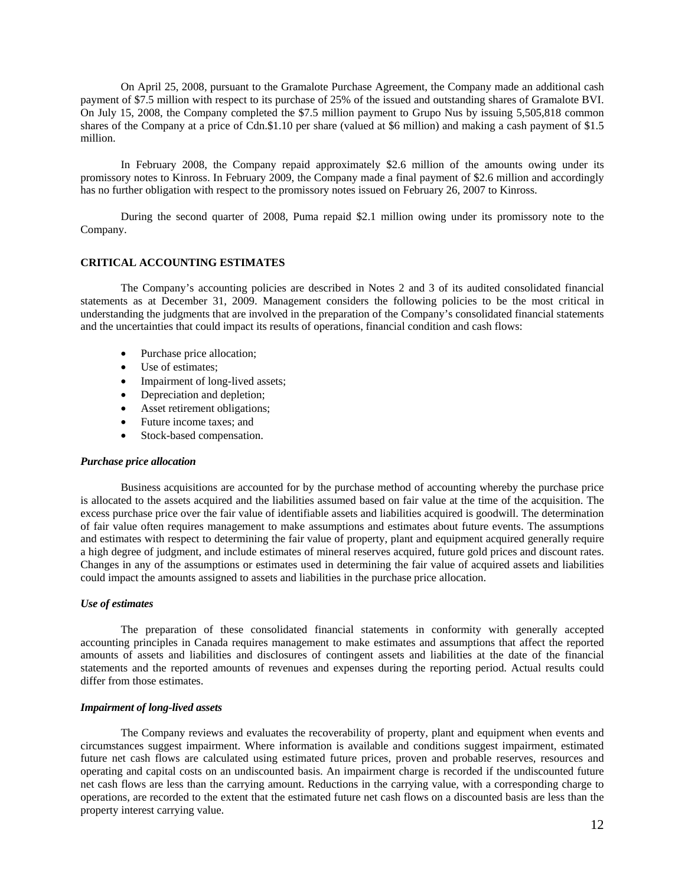On April 25, 2008, pursuant to the Gramalote Purchase Agreement, the Company made an additional cash payment of \$7.5 million with respect to its purchase of 25% of the issued and outstanding shares of Gramalote BVI. On July 15, 2008, the Company completed the \$7.5 million payment to Grupo Nus by issuing 5,505,818 common shares of the Company at a price of Cdn.\$1.10 per share (valued at \$6 million) and making a cash payment of \$1.5 million.

In February 2008, the Company repaid approximately \$2.6 million of the amounts owing under its promissory notes to Kinross. In February 2009, the Company made a final payment of \$2.6 million and accordingly has no further obligation with respect to the promissory notes issued on February 26, 2007 to Kinross.

During the second quarter of 2008, Puma repaid \$2.1 million owing under its promissory note to the Company.

#### **CRITICAL ACCOUNTING ESTIMATES**

The Company's accounting policies are described in Notes 2 and 3 of its audited consolidated financial statements as at December 31, 2009. Management considers the following policies to be the most critical in understanding the judgments that are involved in the preparation of the Company's consolidated financial statements and the uncertainties that could impact its results of operations, financial condition and cash flows:

- Purchase price allocation;
- Use of estimates;
- Impairment of long-lived assets;
- Depreciation and depletion;
- Asset retirement obligations;
- Future income taxes; and
- Stock-based compensation.

#### *Purchase price allocation*

Business acquisitions are accounted for by the purchase method of accounting whereby the purchase price is allocated to the assets acquired and the liabilities assumed based on fair value at the time of the acquisition. The excess purchase price over the fair value of identifiable assets and liabilities acquired is goodwill. The determination of fair value often requires management to make assumptions and estimates about future events. The assumptions and estimates with respect to determining the fair value of property, plant and equipment acquired generally require a high degree of judgment, and include estimates of mineral reserves acquired, future gold prices and discount rates. Changes in any of the assumptions or estimates used in determining the fair value of acquired assets and liabilities could impact the amounts assigned to assets and liabilities in the purchase price allocation.

#### *Use of estimates*

The preparation of these consolidated financial statements in conformity with generally accepted accounting principles in Canada requires management to make estimates and assumptions that affect the reported amounts of assets and liabilities and disclosures of contingent assets and liabilities at the date of the financial statements and the reported amounts of revenues and expenses during the reporting period. Actual results could differ from those estimates.

### *Impairment of long-lived assets*

The Company reviews and evaluates the recoverability of property, plant and equipment when events and circumstances suggest impairment. Where information is available and conditions suggest impairment, estimated future net cash flows are calculated using estimated future prices, proven and probable reserves, resources and operating and capital costs on an undiscounted basis. An impairment charge is recorded if the undiscounted future net cash flows are less than the carrying amount. Reductions in the carrying value, with a corresponding charge to operations, are recorded to the extent that the estimated future net cash flows on a discounted basis are less than the property interest carrying value.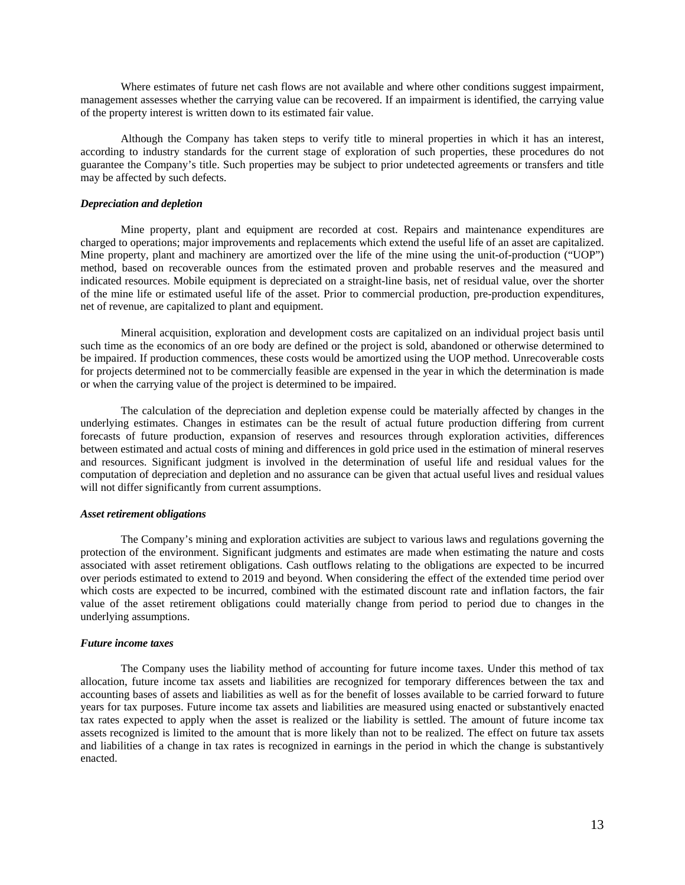Where estimates of future net cash flows are not available and where other conditions suggest impairment, management assesses whether the carrying value can be recovered. If an impairment is identified, the carrying value of the property interest is written down to its estimated fair value.

Although the Company has taken steps to verify title to mineral properties in which it has an interest, according to industry standards for the current stage of exploration of such properties, these procedures do not guarantee the Company's title. Such properties may be subject to prior undetected agreements or transfers and title may be affected by such defects.

# *Depreciation and depletion*

Mine property, plant and equipment are recorded at cost. Repairs and maintenance expenditures are charged to operations; major improvements and replacements which extend the useful life of an asset are capitalized. Mine property, plant and machinery are amortized over the life of the mine using the unit-of-production ("UOP") method, based on recoverable ounces from the estimated proven and probable reserves and the measured and indicated resources. Mobile equipment is depreciated on a straight-line basis, net of residual value, over the shorter of the mine life or estimated useful life of the asset. Prior to commercial production, pre-production expenditures, net of revenue, are capitalized to plant and equipment.

Mineral acquisition, exploration and development costs are capitalized on an individual project basis until such time as the economics of an ore body are defined or the project is sold, abandoned or otherwise determined to be impaired. If production commences, these costs would be amortized using the UOP method. Unrecoverable costs for projects determined not to be commercially feasible are expensed in the year in which the determination is made or when the carrying value of the project is determined to be impaired.

The calculation of the depreciation and depletion expense could be materially affected by changes in the underlying estimates. Changes in estimates can be the result of actual future production differing from current forecasts of future production, expansion of reserves and resources through exploration activities, differences between estimated and actual costs of mining and differences in gold price used in the estimation of mineral reserves and resources. Significant judgment is involved in the determination of useful life and residual values for the computation of depreciation and depletion and no assurance can be given that actual useful lives and residual values will not differ significantly from current assumptions.

#### *Asset retirement obligations*

The Company's mining and exploration activities are subject to various laws and regulations governing the protection of the environment. Significant judgments and estimates are made when estimating the nature and costs associated with asset retirement obligations. Cash outflows relating to the obligations are expected to be incurred over periods estimated to extend to 2019 and beyond. When considering the effect of the extended time period over which costs are expected to be incurred, combined with the estimated discount rate and inflation factors, the fair value of the asset retirement obligations could materially change from period to period due to changes in the underlying assumptions.

#### *Future income taxes*

The Company uses the liability method of accounting for future income taxes. Under this method of tax allocation, future income tax assets and liabilities are recognized for temporary differences between the tax and accounting bases of assets and liabilities as well as for the benefit of losses available to be carried forward to future years for tax purposes. Future income tax assets and liabilities are measured using enacted or substantively enacted tax rates expected to apply when the asset is realized or the liability is settled. The amount of future income tax assets recognized is limited to the amount that is more likely than not to be realized. The effect on future tax assets and liabilities of a change in tax rates is recognized in earnings in the period in which the change is substantively enacted.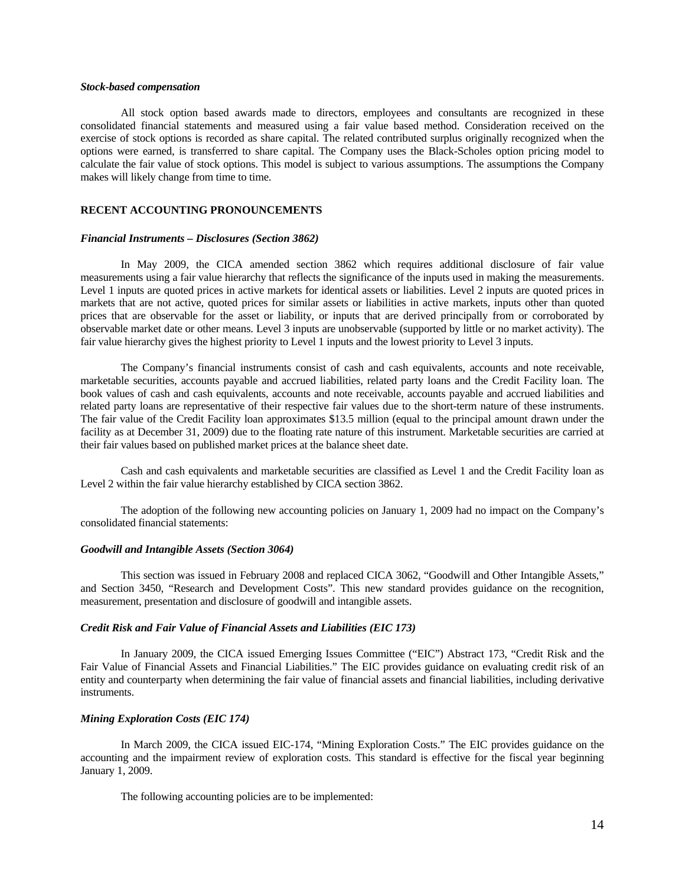#### *Stock-based compensation*

All stock option based awards made to directors, employees and consultants are recognized in these consolidated financial statements and measured using a fair value based method. Consideration received on the exercise of stock options is recorded as share capital. The related contributed surplus originally recognized when the options were earned, is transferred to share capital. The Company uses the Black-Scholes option pricing model to calculate the fair value of stock options. This model is subject to various assumptions. The assumptions the Company makes will likely change from time to time.

# **RECENT ACCOUNTING PRONOUNCEMENTS**

#### *Financial Instruments – Disclosures (Section 3862)*

In May 2009, the CICA amended section 3862 which requires additional disclosure of fair value measurements using a fair value hierarchy that reflects the significance of the inputs used in making the measurements. Level 1 inputs are quoted prices in active markets for identical assets or liabilities. Level 2 inputs are quoted prices in markets that are not active, quoted prices for similar assets or liabilities in active markets, inputs other than quoted prices that are observable for the asset or liability, or inputs that are derived principally from or corroborated by observable market date or other means. Level 3 inputs are unobservable (supported by little or no market activity). The fair value hierarchy gives the highest priority to Level 1 inputs and the lowest priority to Level 3 inputs.

The Company's financial instruments consist of cash and cash equivalents, accounts and note receivable, marketable securities, accounts payable and accrued liabilities, related party loans and the Credit Facility loan. The book values of cash and cash equivalents, accounts and note receivable, accounts payable and accrued liabilities and related party loans are representative of their respective fair values due to the short-term nature of these instruments. The fair value of the Credit Facility loan approximates \$13.5 million (equal to the principal amount drawn under the facility as at December 31, 2009) due to the floating rate nature of this instrument. Marketable securities are carried at their fair values based on published market prices at the balance sheet date.

Cash and cash equivalents and marketable securities are classified as Level 1 and the Credit Facility loan as Level 2 within the fair value hierarchy established by CICA section 3862.

The adoption of the following new accounting policies on January 1, 2009 had no impact on the Company's consolidated financial statements:

#### *Goodwill and Intangible Assets (Section 3064)*

This section was issued in February 2008 and replaced CICA 3062, "Goodwill and Other Intangible Assets," and Section 3450, "Research and Development Costs". This new standard provides guidance on the recognition, measurement, presentation and disclosure of goodwill and intangible assets.

#### *Credit Risk and Fair Value of Financial Assets and Liabilities (EIC 173)*

In January 2009, the CICA issued Emerging Issues Committee ("EIC") Abstract 173, "Credit Risk and the Fair Value of Financial Assets and Financial Liabilities." The EIC provides guidance on evaluating credit risk of an entity and counterparty when determining the fair value of financial assets and financial liabilities, including derivative instruments.

# *Mining Exploration Costs (EIC 174)*

In March 2009, the CICA issued EIC-174, "Mining Exploration Costs." The EIC provides guidance on the accounting and the impairment review of exploration costs. This standard is effective for the fiscal year beginning January 1, 2009.

The following accounting policies are to be implemented: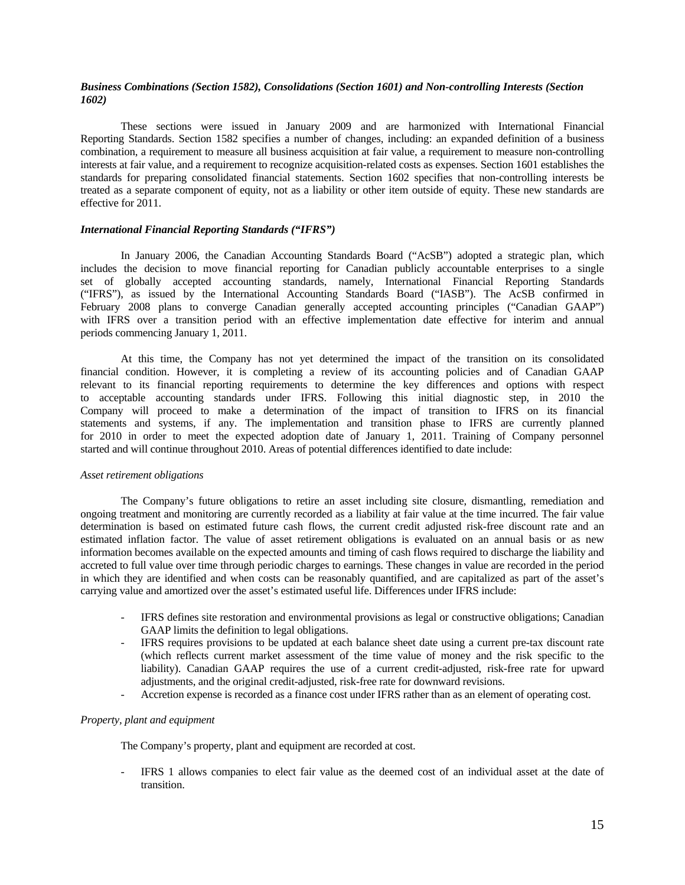# *Business Combinations (Section 1582), Consolidations (Section 1601) and Non-controlling Interests (Section 1602)*

These sections were issued in January 2009 and are harmonized with International Financial Reporting Standards. Section 1582 specifies a number of changes, including: an expanded definition of a business combination, a requirement to measure all business acquisition at fair value, a requirement to measure non-controlling interests at fair value, and a requirement to recognize acquisition-related costs as expenses. Section 1601 establishes the standards for preparing consolidated financial statements. Section 1602 specifies that non-controlling interests be treated as a separate component of equity, not as a liability or other item outside of equity. These new standards are effective for 2011.

# *International Financial Reporting Standards ("IFRS")*

In January 2006, the Canadian Accounting Standards Board ("AcSB") adopted a strategic plan, which includes the decision to move financial reporting for Canadian publicly accountable enterprises to a single set of globally accepted accounting standards, namely, International Financial Reporting Standards ("IFRS"), as issued by the International Accounting Standards Board ("IASB"). The AcSB confirmed in February 2008 plans to converge Canadian generally accepted accounting principles ("Canadian GAAP") with IFRS over a transition period with an effective implementation date effective for interim and annual periods commencing January 1, 2011.

At this time, the Company has not yet determined the impact of the transition on its consolidated financial condition. However, it is completing a review of its accounting policies and of Canadian GAAP relevant to its financial reporting requirements to determine the key differences and options with respect to acceptable accounting standards under IFRS. Following this initial diagnostic step, in 2010 the Company will proceed to make a determination of the impact of transition to IFRS on its financial statements and systems, if any. The implementation and transition phase to IFRS are currently planned for 2010 in order to meet the expected adoption date of January 1, 2011. Training of Company personnel started and will continue throughout 2010. Areas of potential differences identified to date include:

#### *Asset retirement obligations*

The Company's future obligations to retire an asset including site closure, dismantling, remediation and ongoing treatment and monitoring are currently recorded as a liability at fair value at the time incurred. The fair value determination is based on estimated future cash flows, the current credit adjusted risk-free discount rate and an estimated inflation factor. The value of asset retirement obligations is evaluated on an annual basis or as new information becomes available on the expected amounts and timing of cash flows required to discharge the liability and accreted to full value over time through periodic charges to earnings. These changes in value are recorded in the period in which they are identified and when costs can be reasonably quantified, and are capitalized as part of the asset's carrying value and amortized over the asset's estimated useful life. Differences under IFRS include:

- IFRS defines site restoration and environmental provisions as legal or constructive obligations; Canadian GAAP limits the definition to legal obligations.
- IFRS requires provisions to be updated at each balance sheet date using a current pre-tax discount rate (which reflects current market assessment of the time value of money and the risk specific to the liability). Canadian GAAP requires the use of a current credit-adjusted, risk-free rate for upward adjustments, and the original credit-adjusted, risk-free rate for downward revisions.
- Accretion expense is recorded as a finance cost under IFRS rather than as an element of operating cost.

# *Property, plant and equipment*

The Company's property, plant and equipment are recorded at cost.

- IFRS 1 allows companies to elect fair value as the deemed cost of an individual asset at the date of transition.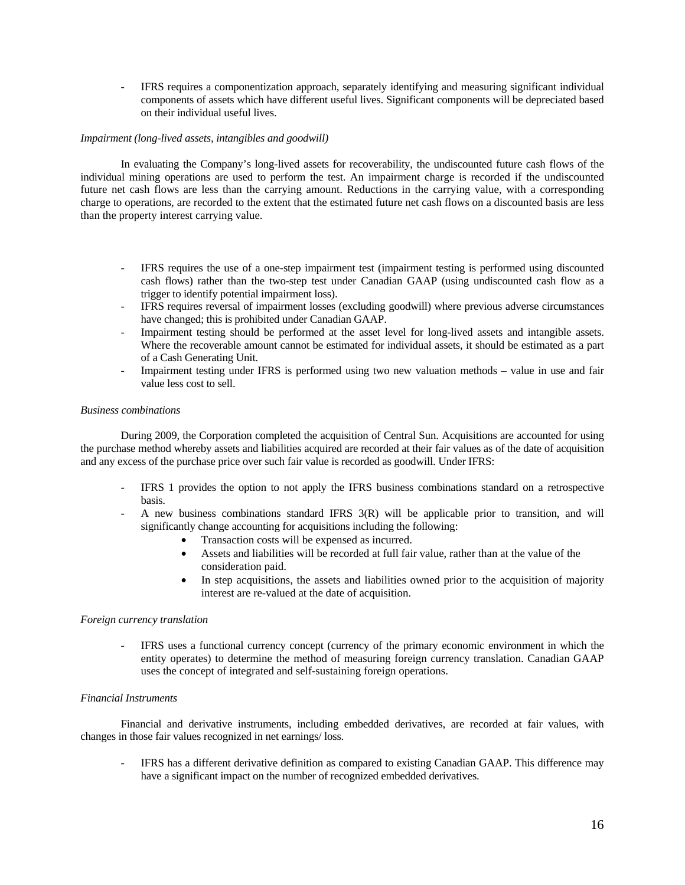- IFRS requires a componentization approach, separately identifying and measuring significant individual components of assets which have different useful lives. Significant components will be depreciated based on their individual useful lives.

# *Impairment (long-lived assets, intangibles and goodwill)*

In evaluating the Company's long-lived assets for recoverability, the undiscounted future cash flows of the individual mining operations are used to perform the test. An impairment charge is recorded if the undiscounted future net cash flows are less than the carrying amount. Reductions in the carrying value, with a corresponding charge to operations, are recorded to the extent that the estimated future net cash flows on a discounted basis are less than the property interest carrying value.

- IFRS requires the use of a one-step impairment test (impairment testing is performed using discounted cash flows) rather than the two-step test under Canadian GAAP (using undiscounted cash flow as a trigger to identify potential impairment loss).
- IFRS requires reversal of impairment losses (excluding goodwill) where previous adverse circumstances have changed; this is prohibited under Canadian GAAP.
- Impairment testing should be performed at the asset level for long-lived assets and intangible assets. Where the recoverable amount cannot be estimated for individual assets, it should be estimated as a part of a Cash Generating Unit.
- Impairment testing under IFRS is performed using two new valuation methods value in use and fair value less cost to sell.

#### *Business combinations*

During 2009, the Corporation completed the acquisition of Central Sun. Acquisitions are accounted for using the purchase method whereby assets and liabilities acquired are recorded at their fair values as of the date of acquisition and any excess of the purchase price over such fair value is recorded as goodwill. Under IFRS:

- IFRS 1 provides the option to not apply the IFRS business combinations standard on a retrospective basis.
- A new business combinations standard IFRS  $3(R)$  will be applicable prior to transition, and will significantly change accounting for acquisitions including the following:
	- Transaction costs will be expensed as incurred.
	- Assets and liabilities will be recorded at full fair value, rather than at the value of the consideration paid.
	- In step acquisitions, the assets and liabilities owned prior to the acquisition of majority interest are re-valued at the date of acquisition.

## *Foreign currency translation*

IFRS uses a functional currency concept (currency of the primary economic environment in which the entity operates) to determine the method of measuring foreign currency translation. Canadian GAAP uses the concept of integrated and self-sustaining foreign operations.

### *Financial Instruments*

Financial and derivative instruments, including embedded derivatives, are recorded at fair values, with changes in those fair values recognized in net earnings/ loss.

- IFRS has a different derivative definition as compared to existing Canadian GAAP. This difference may have a significant impact on the number of recognized embedded derivatives.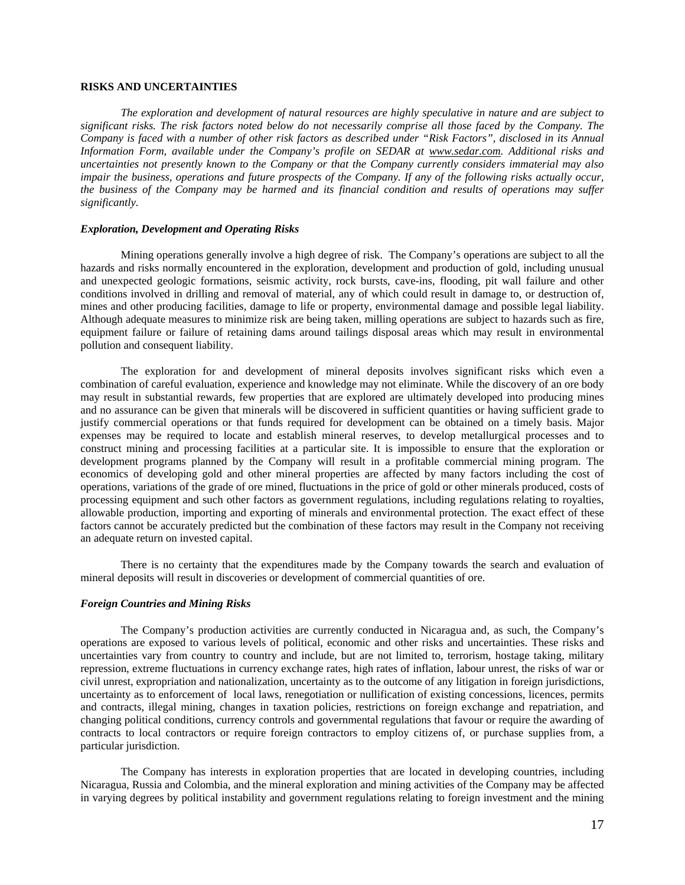# **RISKS AND UNCERTAINTIES**

*The exploration and development of natural resources are highly speculative in nature and are subject to significant risks. The risk factors noted below do not necessarily comprise all those faced by the Company. The Company is faced with a number of other risk factors as described under "Risk Factors", disclosed in its Annual Information Form, available under the Company's profile on SEDAR at www.sedar.com. Additional risks and uncertainties not presently known to the Company or that the Company currently considers immaterial may also impair the business, operations and future prospects of the Company. If any of the following risks actually occur, the business of the Company may be harmed and its financial condition and results of operations may suffer significantly.* 

#### *Exploration, Development and Operating Risks*

Mining operations generally involve a high degree of risk. The Company's operations are subject to all the hazards and risks normally encountered in the exploration, development and production of gold, including unusual and unexpected geologic formations, seismic activity, rock bursts, cave-ins, flooding, pit wall failure and other conditions involved in drilling and removal of material, any of which could result in damage to, or destruction of, mines and other producing facilities, damage to life or property, environmental damage and possible legal liability. Although adequate measures to minimize risk are being taken, milling operations are subject to hazards such as fire, equipment failure or failure of retaining dams around tailings disposal areas which may result in environmental pollution and consequent liability.

The exploration for and development of mineral deposits involves significant risks which even a combination of careful evaluation, experience and knowledge may not eliminate. While the discovery of an ore body may result in substantial rewards, few properties that are explored are ultimately developed into producing mines and no assurance can be given that minerals will be discovered in sufficient quantities or having sufficient grade to justify commercial operations or that funds required for development can be obtained on a timely basis. Major expenses may be required to locate and establish mineral reserves, to develop metallurgical processes and to construct mining and processing facilities at a particular site. It is impossible to ensure that the exploration or development programs planned by the Company will result in a profitable commercial mining program. The economics of developing gold and other mineral properties are affected by many factors including the cost of operations, variations of the grade of ore mined, fluctuations in the price of gold or other minerals produced, costs of processing equipment and such other factors as government regulations, including regulations relating to royalties, allowable production, importing and exporting of minerals and environmental protection. The exact effect of these factors cannot be accurately predicted but the combination of these factors may result in the Company not receiving an adequate return on invested capital.

There is no certainty that the expenditures made by the Company towards the search and evaluation of mineral deposits will result in discoveries or development of commercial quantities of ore.

#### *Foreign Countries and Mining Risks*

The Company's production activities are currently conducted in Nicaragua and, as such, the Company's operations are exposed to various levels of political, economic and other risks and uncertainties. These risks and uncertainties vary from country to country and include, but are not limited to, terrorism, hostage taking, military repression, extreme fluctuations in currency exchange rates, high rates of inflation, labour unrest, the risks of war or civil unrest, expropriation and nationalization, uncertainty as to the outcome of any litigation in foreign jurisdictions, uncertainty as to enforcement of local laws, renegotiation or nullification of existing concessions, licences, permits and contracts, illegal mining, changes in taxation policies, restrictions on foreign exchange and repatriation, and changing political conditions, currency controls and governmental regulations that favour or require the awarding of contracts to local contractors or require foreign contractors to employ citizens of, or purchase supplies from, a particular jurisdiction.

The Company has interests in exploration properties that are located in developing countries, including Nicaragua, Russia and Colombia, and the mineral exploration and mining activities of the Company may be affected in varying degrees by political instability and government regulations relating to foreign investment and the mining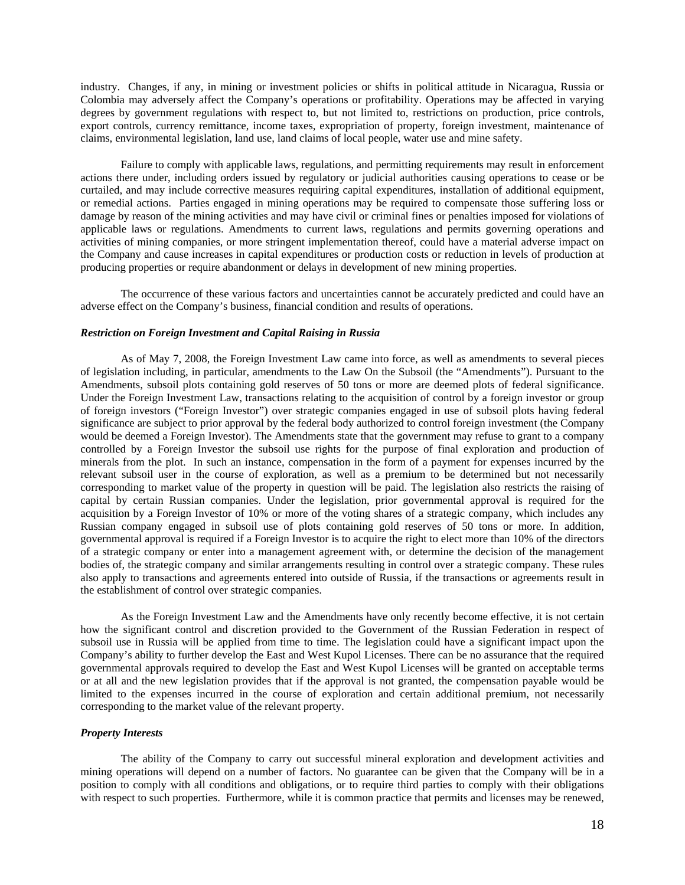industry. Changes, if any, in mining or investment policies or shifts in political attitude in Nicaragua, Russia or Colombia may adversely affect the Company's operations or profitability. Operations may be affected in varying degrees by government regulations with respect to, but not limited to, restrictions on production, price controls, export controls, currency remittance, income taxes, expropriation of property, foreign investment, maintenance of claims, environmental legislation, land use, land claims of local people, water use and mine safety.

Failure to comply with applicable laws, regulations, and permitting requirements may result in enforcement actions there under, including orders issued by regulatory or judicial authorities causing operations to cease or be curtailed, and may include corrective measures requiring capital expenditures, installation of additional equipment, or remedial actions. Parties engaged in mining operations may be required to compensate those suffering loss or damage by reason of the mining activities and may have civil or criminal fines or penalties imposed for violations of applicable laws or regulations. Amendments to current laws, regulations and permits governing operations and activities of mining companies, or more stringent implementation thereof, could have a material adverse impact on the Company and cause increases in capital expenditures or production costs or reduction in levels of production at producing properties or require abandonment or delays in development of new mining properties.

The occurrence of these various factors and uncertainties cannot be accurately predicted and could have an adverse effect on the Company's business, financial condition and results of operations.

### *Restriction on Foreign Investment and Capital Raising in Russia*

As of May 7, 2008, the Foreign Investment Law came into force, as well as amendments to several pieces of legislation including, in particular, amendments to the Law On the Subsoil (the "Amendments"). Pursuant to the Amendments, subsoil plots containing gold reserves of 50 tons or more are deemed plots of federal significance. Under the Foreign Investment Law, transactions relating to the acquisition of control by a foreign investor or group of foreign investors ("Foreign Investor") over strategic companies engaged in use of subsoil plots having federal significance are subject to prior approval by the federal body authorized to control foreign investment (the Company would be deemed a Foreign Investor). The Amendments state that the government may refuse to grant to a company controlled by a Foreign Investor the subsoil use rights for the purpose of final exploration and production of minerals from the plot. In such an instance, compensation in the form of a payment for expenses incurred by the relevant subsoil user in the course of exploration, as well as a premium to be determined but not necessarily corresponding to market value of the property in question will be paid. The legislation also restricts the raising of capital by certain Russian companies. Under the legislation, prior governmental approval is required for the acquisition by a Foreign Investor of 10% or more of the voting shares of a strategic company, which includes any Russian company engaged in subsoil use of plots containing gold reserves of 50 tons or more. In addition, governmental approval is required if a Foreign Investor is to acquire the right to elect more than 10% of the directors of a strategic company or enter into a management agreement with, or determine the decision of the management bodies of, the strategic company and similar arrangements resulting in control over a strategic company. These rules also apply to transactions and agreements entered into outside of Russia, if the transactions or agreements result in the establishment of control over strategic companies.

As the Foreign Investment Law and the Amendments have only recently become effective, it is not certain how the significant control and discretion provided to the Government of the Russian Federation in respect of subsoil use in Russia will be applied from time to time. The legislation could have a significant impact upon the Company's ability to further develop the East and West Kupol Licenses. There can be no assurance that the required governmental approvals required to develop the East and West Kupol Licenses will be granted on acceptable terms or at all and the new legislation provides that if the approval is not granted, the compensation payable would be limited to the expenses incurred in the course of exploration and certain additional premium, not necessarily corresponding to the market value of the relevant property.

# *Property Interests*

The ability of the Company to carry out successful mineral exploration and development activities and mining operations will depend on a number of factors. No guarantee can be given that the Company will be in a position to comply with all conditions and obligations, or to require third parties to comply with their obligations with respect to such properties. Furthermore, while it is common practice that permits and licenses may be renewed,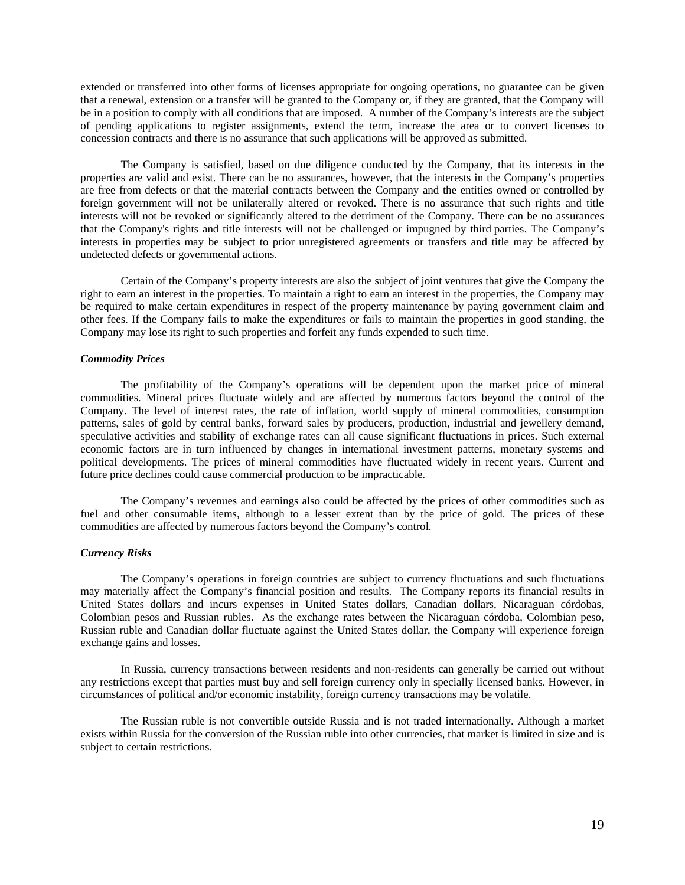extended or transferred into other forms of licenses appropriate for ongoing operations, no guarantee can be given that a renewal, extension or a transfer will be granted to the Company or, if they are granted, that the Company will be in a position to comply with all conditions that are imposed. A number of the Company's interests are the subject of pending applications to register assignments, extend the term, increase the area or to convert licenses to concession contracts and there is no assurance that such applications will be approved as submitted.

The Company is satisfied, based on due diligence conducted by the Company, that its interests in the properties are valid and exist. There can be no assurances, however, that the interests in the Company's properties are free from defects or that the material contracts between the Company and the entities owned or controlled by foreign government will not be unilaterally altered or revoked. There is no assurance that such rights and title interests will not be revoked or significantly altered to the detriment of the Company. There can be no assurances that the Company's rights and title interests will not be challenged or impugned by third parties. The Company's interests in properties may be subject to prior unregistered agreements or transfers and title may be affected by undetected defects or governmental actions.

Certain of the Company's property interests are also the subject of joint ventures that give the Company the right to earn an interest in the properties. To maintain a right to earn an interest in the properties, the Company may be required to make certain expenditures in respect of the property maintenance by paying government claim and other fees. If the Company fails to make the expenditures or fails to maintain the properties in good standing, the Company may lose its right to such properties and forfeit any funds expended to such time.

# *Commodity Prices*

The profitability of the Company's operations will be dependent upon the market price of mineral commodities. Mineral prices fluctuate widely and are affected by numerous factors beyond the control of the Company. The level of interest rates, the rate of inflation, world supply of mineral commodities, consumption patterns, sales of gold by central banks, forward sales by producers, production, industrial and jewellery demand, speculative activities and stability of exchange rates can all cause significant fluctuations in prices. Such external economic factors are in turn influenced by changes in international investment patterns, monetary systems and political developments. The prices of mineral commodities have fluctuated widely in recent years. Current and future price declines could cause commercial production to be impracticable.

The Company's revenues and earnings also could be affected by the prices of other commodities such as fuel and other consumable items, although to a lesser extent than by the price of gold. The prices of these commodities are affected by numerous factors beyond the Company's control.

# *Currency Risks*

The Company's operations in foreign countries are subject to currency fluctuations and such fluctuations may materially affect the Company's financial position and results. The Company reports its financial results in United States dollars and incurs expenses in United States dollars, Canadian dollars, Nicaraguan córdobas, Colombian pesos and Russian rubles. As the exchange rates between the Nicaraguan córdoba, Colombian peso, Russian ruble and Canadian dollar fluctuate against the United States dollar, the Company will experience foreign exchange gains and losses.

In Russia, currency transactions between residents and non-residents can generally be carried out without any restrictions except that parties must buy and sell foreign currency only in specially licensed banks. However, in circumstances of political and/or economic instability, foreign currency transactions may be volatile.

The Russian ruble is not convertible outside Russia and is not traded internationally. Although a market exists within Russia for the conversion of the Russian ruble into other currencies, that market is limited in size and is subject to certain restrictions.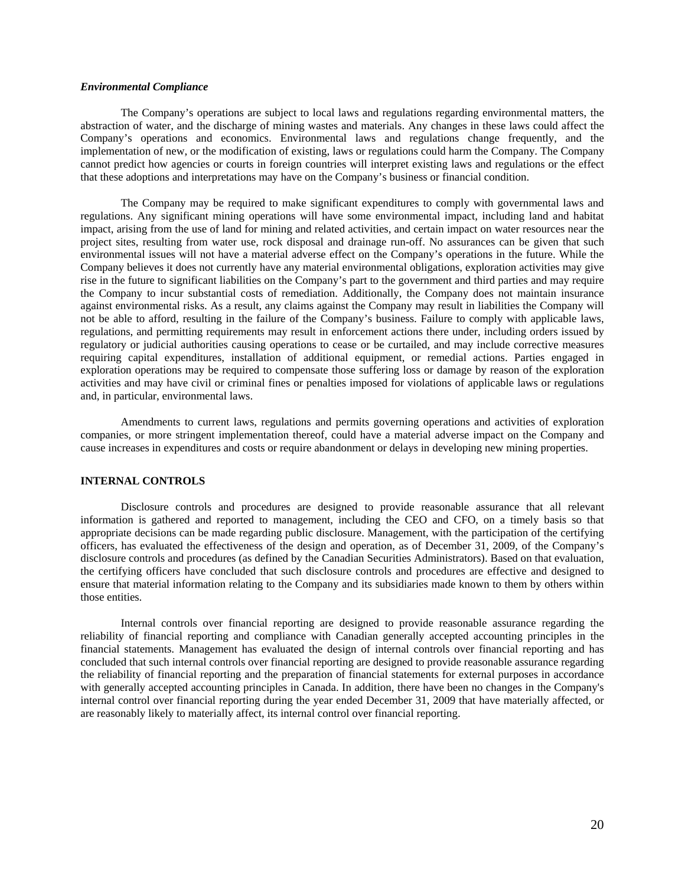#### *Environmental Compliance*

The Company's operations are subject to local laws and regulations regarding environmental matters, the abstraction of water, and the discharge of mining wastes and materials. Any changes in these laws could affect the Company's operations and economics. Environmental laws and regulations change frequently, and the implementation of new, or the modification of existing, laws or regulations could harm the Company. The Company cannot predict how agencies or courts in foreign countries will interpret existing laws and regulations or the effect that these adoptions and interpretations may have on the Company's business or financial condition.

The Company may be required to make significant expenditures to comply with governmental laws and regulations. Any significant mining operations will have some environmental impact, including land and habitat impact, arising from the use of land for mining and related activities, and certain impact on water resources near the project sites, resulting from water use, rock disposal and drainage run-off. No assurances can be given that such environmental issues will not have a material adverse effect on the Company's operations in the future. While the Company believes it does not currently have any material environmental obligations, exploration activities may give rise in the future to significant liabilities on the Company's part to the government and third parties and may require the Company to incur substantial costs of remediation. Additionally, the Company does not maintain insurance against environmental risks. As a result, any claims against the Company may result in liabilities the Company will not be able to afford, resulting in the failure of the Company's business. Failure to comply with applicable laws, regulations, and permitting requirements may result in enforcement actions there under, including orders issued by regulatory or judicial authorities causing operations to cease or be curtailed, and may include corrective measures requiring capital expenditures, installation of additional equipment, or remedial actions. Parties engaged in exploration operations may be required to compensate those suffering loss or damage by reason of the exploration activities and may have civil or criminal fines or penalties imposed for violations of applicable laws or regulations and, in particular, environmental laws.

Amendments to current laws, regulations and permits governing operations and activities of exploration companies, or more stringent implementation thereof, could have a material adverse impact on the Company and cause increases in expenditures and costs or require abandonment or delays in developing new mining properties.

#### **INTERNAL CONTROLS**

Disclosure controls and procedures are designed to provide reasonable assurance that all relevant information is gathered and reported to management, including the CEO and CFO, on a timely basis so that appropriate decisions can be made regarding public disclosure. Management, with the participation of the certifying officers, has evaluated the effectiveness of the design and operation, as of December 31, 2009, of the Company's disclosure controls and procedures (as defined by the Canadian Securities Administrators). Based on that evaluation, the certifying officers have concluded that such disclosure controls and procedures are effective and designed to ensure that material information relating to the Company and its subsidiaries made known to them by others within those entities.

Internal controls over financial reporting are designed to provide reasonable assurance regarding the reliability of financial reporting and compliance with Canadian generally accepted accounting principles in the financial statements. Management has evaluated the design of internal controls over financial reporting and has concluded that such internal controls over financial reporting are designed to provide reasonable assurance regarding the reliability of financial reporting and the preparation of financial statements for external purposes in accordance with generally accepted accounting principles in Canada. In addition, there have been no changes in the Company's internal control over financial reporting during the year ended December 31, 2009 that have materially affected, or are reasonably likely to materially affect, its internal control over financial reporting.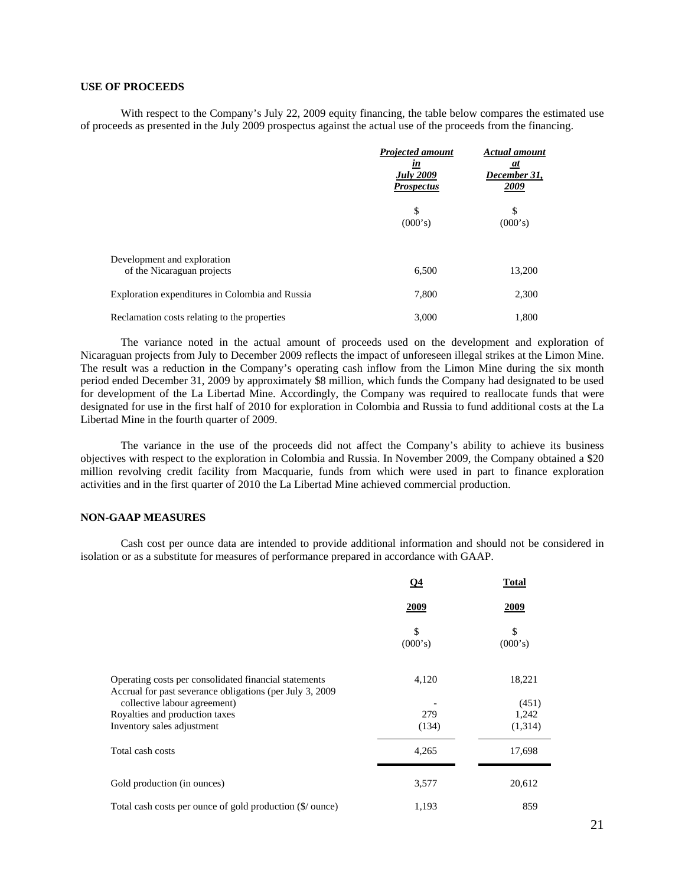# **USE OF PROCEEDS**

With respect to the Company's July 22, 2009 equity financing, the table below compares the estimated use of proceeds as presented in the July 2009 prospectus against the actual use of the proceeds from the financing.

|                                                           | <b>Projected amount</b><br><u>in</u><br><b>July 2009</b> | <b>Actual amount</b><br>at<br>December 31, |
|-----------------------------------------------------------|----------------------------------------------------------|--------------------------------------------|
|                                                           | <b>Prospectus</b>                                        | 2009                                       |
|                                                           | \$<br>(000's)                                            | \$<br>(000's)                              |
| Development and exploration<br>of the Nicaraguan projects | 6,500                                                    | 13,200                                     |
| Exploration expenditures in Colombia and Russia           | 7,800                                                    | 2,300                                      |
| Reclamation costs relating to the properties              | 3,000                                                    | 1,800                                      |

The variance noted in the actual amount of proceeds used on the development and exploration of Nicaraguan projects from July to December 2009 reflects the impact of unforeseen illegal strikes at the Limon Mine. The result was a reduction in the Company's operating cash inflow from the Limon Mine during the six month period ended December 31, 2009 by approximately \$8 million, which funds the Company had designated to be used for development of the La Libertad Mine. Accordingly, the Company was required to reallocate funds that were designated for use in the first half of 2010 for exploration in Colombia and Russia to fund additional costs at the La Libertad Mine in the fourth quarter of 2009.

The variance in the use of the proceeds did not affect the Company's ability to achieve its business objectives with respect to the exploration in Colombia and Russia. In November 2009, the Company obtained a \$20 million revolving credit facility from Macquarie, funds from which were used in part to finance exploration activities and in the first quarter of 2010 the La Libertad Mine achieved commercial production.

# **NON-GAAP MEASURES**

Cash cost per ounce data are intended to provide additional information and should not be considered in isolation or as a substitute for measures of performance prepared in accordance with GAAP.

|                                                                                                                    | $Q_4$         | <b>Total</b>  |
|--------------------------------------------------------------------------------------------------------------------|---------------|---------------|
|                                                                                                                    | <u>2009</u>   | <u>2009</u>   |
|                                                                                                                    | \$<br>(000's) | \$<br>(000's) |
| Operating costs per consolidated financial statements<br>Accrual for past severance obligations (per July 3, 2009) | 4,120         | 18,221        |
| collective labour agreement)                                                                                       |               | (451)         |
| Royalties and production taxes                                                                                     | 279           | 1,242         |
| Inventory sales adjustment                                                                                         | (134)         | (1,314)       |
| Total cash costs                                                                                                   | 4,265         | 17,698        |
| Gold production (in ounces)                                                                                        | 3,577         | 20,612        |
| Total cash costs per ounce of gold production (\$/ ounce)                                                          | 1,193         | 859           |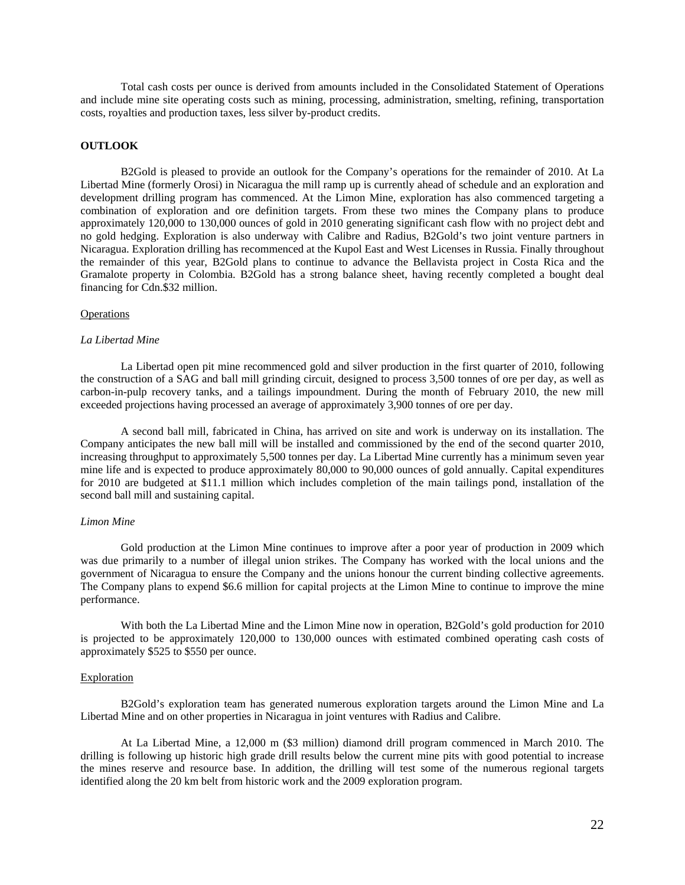Total cash costs per ounce is derived from amounts included in the Consolidated Statement of Operations and include mine site operating costs such as mining, processing, administration, smelting, refining, transportation costs, royalties and production taxes, less silver by-product credits.

# **OUTLOOK**

B2Gold is pleased to provide an outlook for the Company's operations for the remainder of 2010. At La Libertad Mine (formerly Orosi) in Nicaragua the mill ramp up is currently ahead of schedule and an exploration and development drilling program has commenced. At the Limon Mine, exploration has also commenced targeting a combination of exploration and ore definition targets. From these two mines the Company plans to produce approximately 120,000 to 130,000 ounces of gold in 2010 generating significant cash flow with no project debt and no gold hedging. Exploration is also underway with Calibre and Radius, B2Gold's two joint venture partners in Nicaragua. Exploration drilling has recommenced at the Kupol East and West Licenses in Russia. Finally throughout the remainder of this year, B2Gold plans to continue to advance the Bellavista project in Costa Rica and the Gramalote property in Colombia. B2Gold has a strong balance sheet, having recently completed a bought deal financing for Cdn.\$32 million.

#### **Operations**

#### *La Libertad Mine*

La Libertad open pit mine recommenced gold and silver production in the first quarter of 2010, following the construction of a SAG and ball mill grinding circuit, designed to process 3,500 tonnes of ore per day, as well as carbon-in-pulp recovery tanks, and a tailings impoundment. During the month of February 2010, the new mill exceeded projections having processed an average of approximately 3,900 tonnes of ore per day.

A second ball mill, fabricated in China, has arrived on site and work is underway on its installation. The Company anticipates the new ball mill will be installed and commissioned by the end of the second quarter 2010, increasing throughput to approximately 5,500 tonnes per day. La Libertad Mine currently has a minimum seven year mine life and is expected to produce approximately 80,000 to 90,000 ounces of gold annually. Capital expenditures for 2010 are budgeted at \$11.1 million which includes completion of the main tailings pond, installation of the second ball mill and sustaining capital.

#### *Limon Mine*

Gold production at the Limon Mine continues to improve after a poor year of production in 2009 which was due primarily to a number of illegal union strikes. The Company has worked with the local unions and the government of Nicaragua to ensure the Company and the unions honour the current binding collective agreements. The Company plans to expend \$6.6 million for capital projects at the Limon Mine to continue to improve the mine performance.

With both the La Libertad Mine and the Limon Mine now in operation, B2Gold's gold production for 2010 is projected to be approximately 120,000 to 130,000 ounces with estimated combined operating cash costs of approximately \$525 to \$550 per ounce.

#### Exploration

B2Gold's exploration team has generated numerous exploration targets around the Limon Mine and La Libertad Mine and on other properties in Nicaragua in joint ventures with Radius and Calibre.

At La Libertad Mine, a 12,000 m (\$3 million) diamond drill program commenced in March 2010. The drilling is following up historic high grade drill results below the current mine pits with good potential to increase the mines reserve and resource base. In addition, the drilling will test some of the numerous regional targets identified along the 20 km belt from historic work and the 2009 exploration program.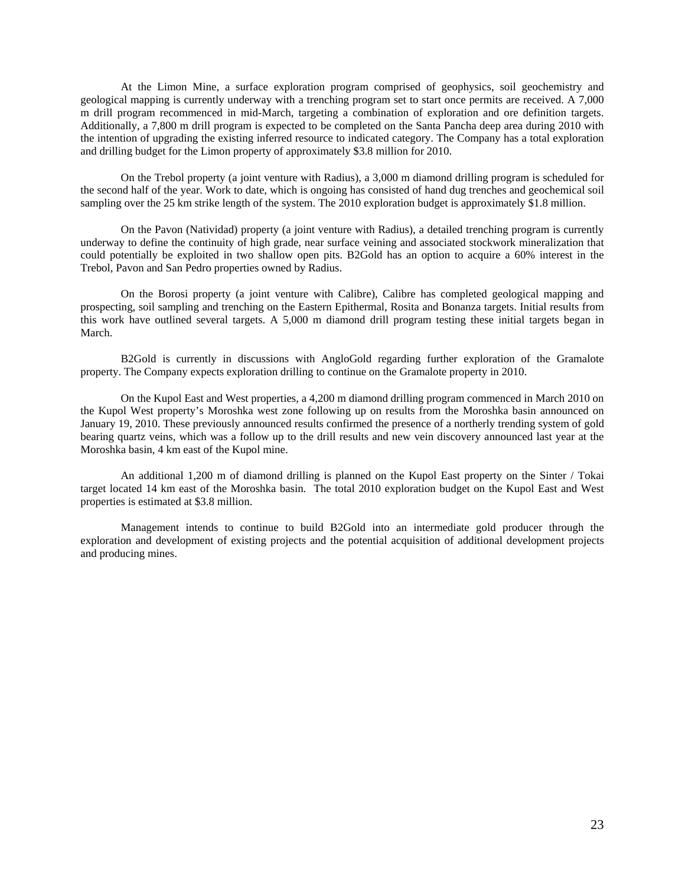At the Limon Mine, a surface exploration program comprised of geophysics, soil geochemistry and geological mapping is currently underway with a trenching program set to start once permits are received. A 7,000 m drill program recommenced in mid-March, targeting a combination of exploration and ore definition targets. Additionally, a 7,800 m drill program is expected to be completed on the Santa Pancha deep area during 2010 with the intention of upgrading the existing inferred resource to indicated category. The Company has a total exploration and drilling budget for the Limon property of approximately \$3.8 million for 2010.

On the Trebol property (a joint venture with Radius), a 3,000 m diamond drilling program is scheduled for the second half of the year. Work to date, which is ongoing has consisted of hand dug trenches and geochemical soil sampling over the 25 km strike length of the system. The 2010 exploration budget is approximately \$1.8 million.

On the Pavon (Natividad) property (a joint venture with Radius), a detailed trenching program is currently underway to define the continuity of high grade, near surface veining and associated stockwork mineralization that could potentially be exploited in two shallow open pits. B2Gold has an option to acquire a 60% interest in the Trebol, Pavon and San Pedro properties owned by Radius.

On the Borosi property (a joint venture with Calibre), Calibre has completed geological mapping and prospecting, soil sampling and trenching on the Eastern Epithermal, Rosita and Bonanza targets. Initial results from this work have outlined several targets. A 5,000 m diamond drill program testing these initial targets began in March.

B2Gold is currently in discussions with AngloGold regarding further exploration of the Gramalote property. The Company expects exploration drilling to continue on the Gramalote property in 2010.

On the Kupol East and West properties, a 4,200 m diamond drilling program commenced in March 2010 on the Kupol West property's Moroshka west zone following up on results from the Moroshka basin announced on January 19, 2010. These previously announced results confirmed the presence of a northerly trending system of gold bearing quartz veins, which was a follow up to the drill results and new vein discovery announced last year at the Moroshka basin, 4 km east of the Kupol mine.

An additional 1,200 m of diamond drilling is planned on the Kupol East property on the Sinter / Tokai target located 14 km east of the Moroshka basin. The total 2010 exploration budget on the Kupol East and West properties is estimated at \$3.8 million.

Management intends to continue to build B2Gold into an intermediate gold producer through the exploration and development of existing projects and the potential acquisition of additional development projects and producing mines.